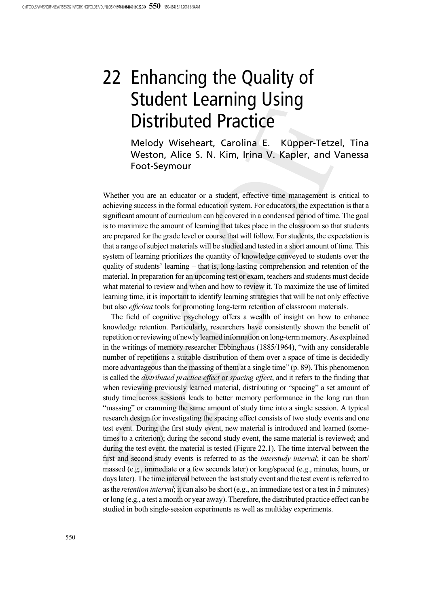# 22 Enhancing the Quality of Student Learning Using Distributed Practice

Melody Wiseheart, Carolina E. Küpper-Tetzel, Tina Weston, Alice S. N. Kim, Irina V. Kapler, and Vanessa Foot-Seymour

Whether you are an educator or a student, effective time management is critical to achieving success in the formal education system. For educators, the expectation is that a significant amount of curriculum can be covered in a condensed period of time. The goal is to maximize the amount of learning that takes place in the classroom so that students are prepared for the grade level or course that will follow. For students, the expectation is that a range of subject materials will be studied and tested in a short amount of time. This system of learning prioritizes the quantity of knowledge conveyed to students over the quality of students' learning – that is, long-lasting comprehension and retention of the material. In preparation for an upcoming test or exam, teachers and students must decide what material to review and when and how to review it. To maximize the use of limited learning time, it is important to identify learning strategies that will be not only effective but also efficient tools for promoting long-term retention of classroom materials.

The field of cognitive psychology offers a wealth of insight on how to enhance knowledge retention. Particularly, researchers have consistently shown the benefit of repetition or reviewing of newlylearnedinformation onlong-term memory. As explained in the writings of memory researcher Ebbinghaus (1885/1964), "with any considerable number of repetitions a suitable distribution of them over a space of time is decidedly more advantageous than the massing of them at a single time" (p. 89). This phenomenon is called the *distributed practice effect* or *spacing effect*, and it refers to the finding that when reviewing previously learned material, distributing or "spacing" a set amount of study time across sessions leads to better memory performance in the long run than "massing" or cramming the same amount of study time into a single session. A typical research design for investigating the spacing effect consists of two study events and one test event. During the first study event, new material is introduced and learned (sometimes to a criterion); during the second study event, the same material is reviewed; and during the test event, the material is tested (Figure 22.1). The time interval between the first and second study events is referred to as the interstudy interval; it can be short/ massed (e.g., immediate or a few seconds later) or long/spaced (e.g., minutes, hours, or days later). The time interval between the last study event and the test event is referred to as the retention interval; it can also be short (e.g., an immediate test or a test in 5 minutes) or long (e.g., a test a month or year away). Therefore, the distributed practice effect can be studied in both single-session experiments as well as multiday experiments.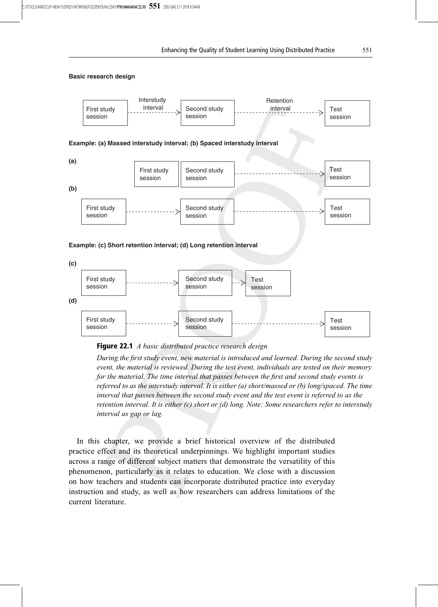#### **Basic research design**





During the first study event, new material is introduced and learned. During the second study event, the material is reviewed. During the test event, individuals are tested on their memory for the material. The time interval that passes between the first and second study events is referred to as the interstudy interval. It is either (a) short/massed or (b) long/spaced. The time interval that passes between the second study event and the test event is referred to as the retention interval. It is either (c) short or (d) long. Note: Some researchers refer to interstudy interval as gap or lag.

In this chapter, we provide a brief historical overview of the distributed practice effect and its theoretical underpinnings. We highlight important studies across a range of different subject matters that demonstrate the versatility of this phenomenon, particularly as it relates to education. We close with a discussion on how teachers and students can incorporate distributed practice into everyday instruction and study, as well as how researchers can address limitations of the current literature.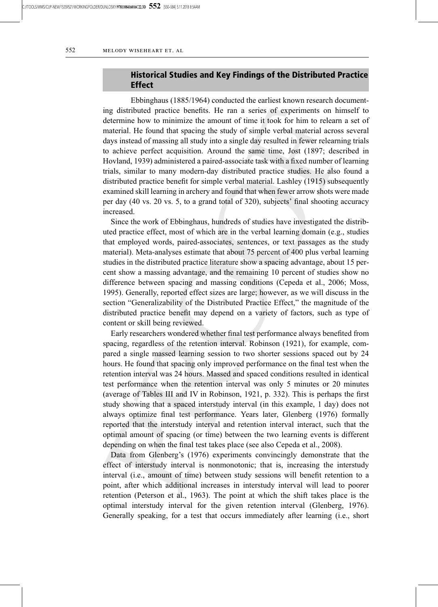C:/ITOOLS/WMS/CUP-NEW/15359521/WORKINGFOLDER/DUNLOSKY/**9781108416016C22.3D 552** [550–584] 5.11.2018 8:54AM

# Historical Studies and Key Findings of the Distributed Practice Effect

Ebbinghaus (1885/1964) conducted the earliest known research documenting distributed practice benefits. He ran a series of experiments on himself to determine how to minimize the amount of time it took for him to relearn a set of material. He found that spacing the study of simple verbal material across several days instead of massing all study into a single day resulted in fewer relearning trials to achieve perfect acquisition. Around the same time, Jost (1897; described in Hovland, 1939) administered a paired-associate task with a fixed number of learning trials, similar to many modern-day distributed practice studies. He also found a distributed practice benefit for simple verbal material. Lashley (1915) subsequently examined skill learning in archery and found that when fewer arrow shots were made per day (40 vs. 20 vs. 5, to a grand total of 320), subjects' final shooting accuracy increased.

Since the work of Ebbinghaus, hundreds of studies have investigated the distributed practice effect, most of which are in the verbal learning domain (e.g., studies that employed words, paired-associates, sentences, or text passages as the study material). Meta-analyses estimate that about 75 percent of 400 plus verbal learning studies in the distributed practice literature show a spacing advantage, about 15 percent show a massing advantage, and the remaining 10 percent of studies show no difference between spacing and massing conditions (Cepeda et al., 2006; Moss, 1995). Generally, reported effect sizes are large; however, as we will discuss in the section "Generalizability of the Distributed Practice Effect," the magnitude of the distributed practice benefit may depend on a variety of factors, such as type of content or skill being reviewed.

Early researchers wondered whether final test performance always benefited from spacing, regardless of the retention interval. Robinson (1921), for example, compared a single massed learning session to two shorter sessions spaced out by 24 hours. He found that spacing only improved performance on the final test when the retention interval was 24 hours. Massed and spaced conditions resulted in identical test performance when the retention interval was only 5 minutes or 20 minutes (average of Tables III and IV in Robinson, 1921, p. 332). This is perhaps the first study showing that a spaced interstudy interval (in this example, 1 day) does not always optimize final test performance. Years later, Glenberg (1976) formally reported that the interstudy interval and retention interval interact, such that the optimal amount of spacing (or time) between the two learning events is different depending on when the final test takes place (see also Cepeda et al., 2008).

Data from Glenberg's (1976) experiments convincingly demonstrate that the effect of interstudy interval is nonmonotonic; that is, increasing the interstudy interval (i.e., amount of time) between study sessions will benefit retention to a point, after which additional increases in interstudy interval will lead to poorer retention (Peterson et al., 1963). The point at which the shift takes place is the optimal interstudy interval for the given retention interval (Glenberg, 1976). Generally speaking, for a test that occurs immediately after learning (i.e., short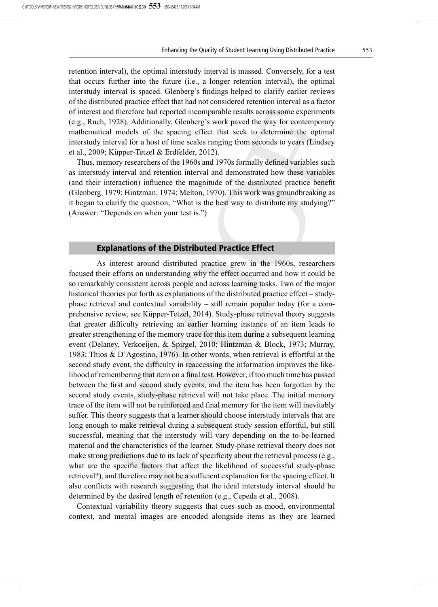retention interval), the optimal interstudy interval is massed. Conversely, for a test that occurs further into the future (i.e., a longer retention interval), the optimal interstudy interval is spaced. Glenberg's findings helped to clarify earlier reviews of the distributed practice effect that had not considered retention interval as a factor of interest and therefore had reported incomparable results across some experiments (e.g., Ruch, 1928). Additionally, Glenberg's work paved the way for contemporary mathematical models of the spacing effect that seek to determine the optimal interstudy interval for a host of time scales ranging from seconds to years (Lindsey et al., 2009; Küpper-Tetzel & Erdfelder, 2012).

Thus, memory researchers of the 1960s and 1970s formally defined variables such as interstudy interval and retention interval and demonstrated how these variables (and their interaction) influence the magnitude of the distributed practice benefit (Glenberg, 1979; Hintzman, 1974; Melton, 1970). This work was groundbreaking as it began to clarify the question, "What is the best way to distribute my studying?" (Answer: "Depends on when your test is.")

## Explanations of the Distributed Practice Effect

As interest around distributed practice grew in the 1960s, researchers focused their efforts on understanding why the effect occurred and how it could be so remarkably consistent across people and across learning tasks. Two of the major historical theories put forth as explanations of the distributed practice effect – studyphase retrieval and contextual variability – still remain popular today (for a comprehensive review, see Küpper-Tetzel, 2014). Study-phase retrieval theory suggests that greater difficulty retrieving an earlier learning instance of an item leads to greater strengthening of the memory trace for this item during a subsequent learning event (Delaney, Verkoeijen, & Spirgel, 2010; Hintzman & Block, 1973; Murray, 1983; Thios & D'Agostino, 1976). In other words, when retrieval is effortful at the second study event, the difficulty in reaccessing the information improves the likelihood of remembering that item on a final test. However, if too much time has passed between the first and second study events, and the item has been forgotten by the second study events, study-phase retrieval will not take place. The initial memory trace of the item will not be reinforced and final memory for the item will inevitably suffer. This theory suggests that a learner should choose interstudy intervals that are long enough to make retrieval during a subsequent study session effortful, but still successful, meaning that the interstudy will vary depending on the to-be-learned material and the characteristics of the learner. Study-phase retrieval theory does not make strong predictions due to its lack of specificity about the retrieval process (e.g., what are the specific factors that affect the likelihood of successful study-phase retrieval?), and therefore may not be a sufficient explanation for the spacing effect. It also conflicts with research suggesting that the ideal interstudy interval should be determined by the desired length of retention (e.g., Cepeda et al., 2008).

Contextual variability theory suggests that cues such as mood, environmental context, and mental images are encoded alongside items as they are learned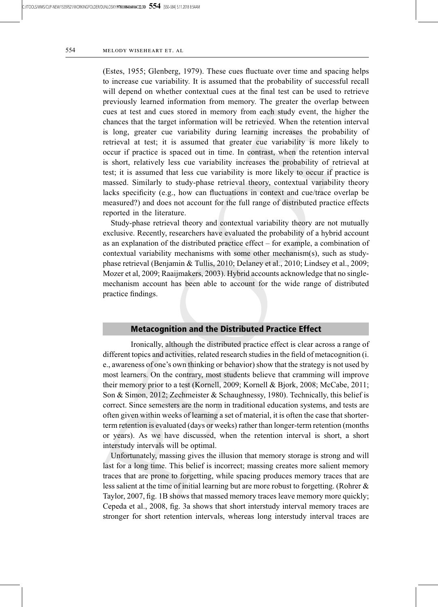(Estes, 1955; Glenberg, 1979). These cues fluctuate over time and spacing helps to increase cue variability. It is assumed that the probability of successful recall will depend on whether contextual cues at the final test can be used to retrieve previously learned information from memory. The greater the overlap between cues at test and cues stored in memory from each study event, the higher the chances that the target information will be retrieved. When the retention interval is long, greater cue variability during learning increases the probability of retrieval at test; it is assumed that greater cue variability is more likely to occur if practice is spaced out in time. In contrast, when the retention interval is short, relatively less cue variability increases the probability of retrieval at test; it is assumed that less cue variability is more likely to occur if practice is massed. Similarly to study-phase retrieval theory, contextual variability theory lacks specificity (e.g., how can fluctuations in context and cue/trace overlap be measured?) and does not account for the full range of distributed practice effects reported in the literature.

Study-phase retrieval theory and contextual variability theory are not mutually exclusive. Recently, researchers have evaluated the probability of a hybrid account as an explanation of the distributed practice effect – for example, a combination of contextual variability mechanisms with some other mechanism(s), such as studyphase retrieval (Benjamin & Tullis, 2010; Delaney et al., 2010; Lindsey et al., 2009; Mozer et al, 2009; Raaijmakers, 2003). Hybrid accounts acknowledge that no singlemechanism account has been able to account for the wide range of distributed practice findings.

## Metacognition and the Distributed Practice Effect

Ironically, although the distributed practice effect is clear across a range of different topics and activities, related research studies in the field of metacognition (i. e., awareness of one's own thinking or behavior) show that the strategy is not used by most learners. On the contrary, most students believe that cramming will improve their memory prior to a test (Kornell, 2009; Kornell & Bjork, 2008; McCabe, 2011; Son & Simon, 2012; Zechmeister & Schaughnessy, 1980). Technically, this belief is correct. Since semesters are the norm in traditional education systems, and tests are often given within weeks of learning a set of material, it is often the case that shorterterm retention is evaluated (days or weeks) rather than longer-term retention (months or years). As we have discussed, when the retention interval is short, a short interstudy intervals will be optimal.

Unfortunately, massing gives the illusion that memory storage is strong and will last for a long time. This belief is incorrect; massing creates more salient memory traces that are prone to forgetting, while spacing produces memory traces that are less salient at the time of initial learning but are more robust to forgetting. (Rohrer & Taylor, 2007, fig. 1B shows that massed memory traces leave memory more quickly; Cepeda et al., 2008, fig. 3a shows that short interstudy interval memory traces are stronger for short retention intervals, whereas long interstudy interval traces are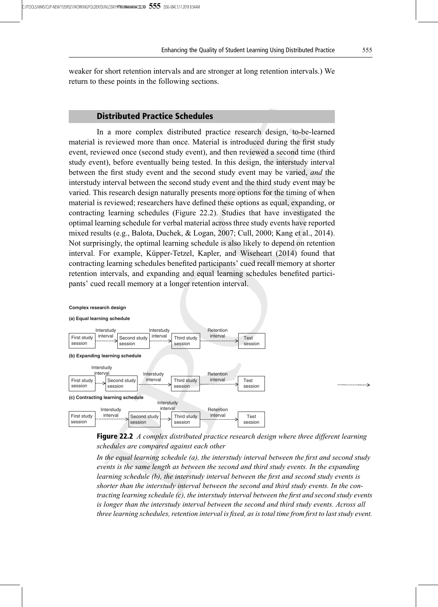weaker for short retention intervals and are stronger at long retention intervals.) We return to these points in the following sections.

# Distributed Practice Schedules

In a more complex distributed practice research design, to-be-learned material is reviewed more than once. Material is introduced during the first study event, reviewed once (second study event), and then reviewed a second time (third study event), before eventually being tested. In this design, the interstudy interval between the first study event and the second study event may be varied, and the interstudy interval between the second study event and the third study event may be varied. This research design naturally presents more options for the timing of when material is reviewed; researchers have defined these options as equal, expanding, or contracting learning schedules (Figure 22.2). Studies that have investigated the optimal learning schedule for verbal material across three study events have reported mixed results (e.g., Balota, Duchek, & Logan, 2007; Cull, 2000; Kang et al., 2014). Not surprisingly, the optimal learning schedule is also likely to depend on retention interval. For example, Küpper-Tetzel, Kapler, and Wiseheart (2014) found that contracting learning schedules benefited participants' cued recall memory at shorter retention intervals, and expanding and equal learning schedules benefited participants' cued recall memory at a longer retention interval.





In the equal learning schedule (a), the interstudy interval between the first and second study events is the same length as between the second and third study events. In the expanding learning schedule (b), the interstudy interval between the first and second study events is shorter than the interstudy interval between the second and third study events. In the contracting learning schedule  $(c)$ , the interstudy interval between the first and second study events is longer than the interstudy interval between the second and third study events. Across all three learning schedules, retention interval is fixed, as is total time from first to last study event.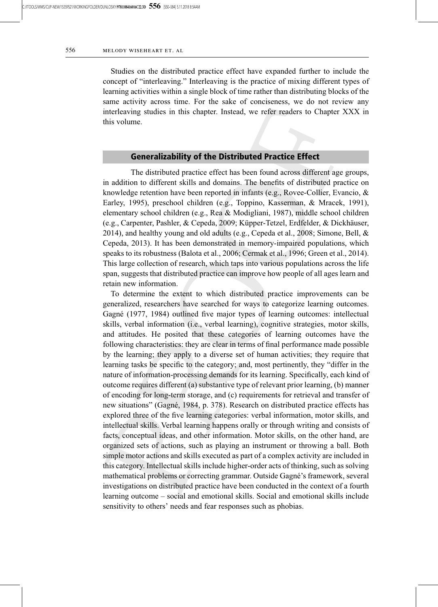Studies on the distributed practice effect have expanded further to include the concept of "interleaving." Interleaving is the practice of mixing different types of learning activities within a single block of time rather than distributing blocks of the same activity across time. For the sake of conciseness, we do not review any interleaving studies in this chapter. Instead, we refer readers to Chapter XXX in this volume.

# Generalizability of the Distributed Practice Effect

The distributed practice effect has been found across different age groups, in addition to different skills and domains. The benefits of distributed practice on knowledge retention have been reported in infants (e.g., Rovee-Collier, Evancio, & Earley, 1995), preschool children (e.g., Toppino, Kasserman, & Mracek, 1991), elementary school children (e.g., Rea & Modigliani, 1987), middle school children (e.g., Carpenter, Pashler, & Cepeda, 2009; Küpper-Tetzel, Erdfelder, & Dickhäuser, 2014), and healthy young and old adults (e.g., Cepeda et al., 2008; Simone, Bell, & Cepeda, 2013). It has been demonstrated in memory-impaired populations, which speaks to its robustness (Balota et al., 2006; Cermak et al., 1996; Green et al., 2014). This large collection of research, which taps into various populations across the life span, suggests that distributed practice can improve how people of all ages learn and retain new information.

To determine the extent to which distributed practice improvements can be generalized, researchers have searched for ways to categorize learning outcomes. Gagné (1977, 1984) outlined five major types of learning outcomes: intellectual skills, verbal information (i.e., verbal learning), cognitive strategies, motor skills, and attitudes. He posited that these categories of learning outcomes have the following characteristics: they are clear in terms of final performance made possible by the learning; they apply to a diverse set of human activities; they require that learning tasks be specific to the category; and, most pertinently, they "differ in the nature of information-processing demands for its learning. Specifically, each kind of outcome requires different (a) substantive type of relevant prior learning, (b) manner of encoding for long-term storage, and (c) requirements for retrieval and transfer of new situations" (Gagné, 1984, p. 378). Research on distributed practice effects has explored three of the five learning categories: verbal information, motor skills, and intellectual skills. Verbal learning happens orally or through writing and consists of facts, conceptual ideas, and other information. Motor skills, on the other hand, are organized sets of actions, such as playing an instrument or throwing a ball. Both simple motor actions and skills executed as part of a complex activity are included in this category. Intellectual skills include higher-order acts of thinking, such as solving mathematical problems or correcting grammar. Outside Gagné's framework, several investigations on distributed practice have been conducted in the context of a fourth learning outcome – social and emotional skills. Social and emotional skills include sensitivity to others' needs and fear responses such as phobias.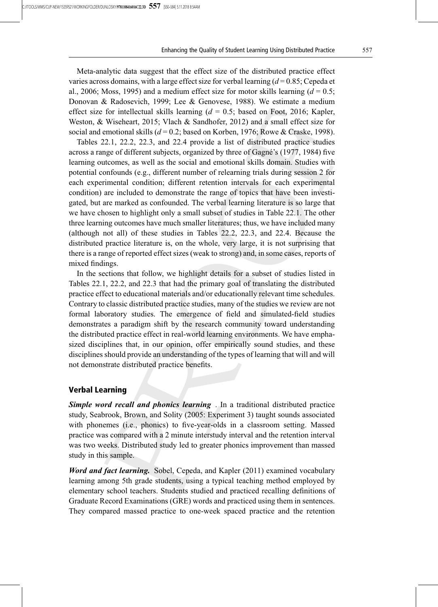Meta-analytic data suggest that the effect size of the distributed practice effect varies across domains, with a large effect size for verbal learning  $(d=0.85; Cepeda et$ al., 2006; Moss, 1995) and a medium effect size for motor skills learning  $(d = 0.5;$ Donovan & Radosevich, 1999; Lee & Genovese, 1988). We estimate a medium effect size for intellectual skills learning  $(d = 0.5)$ ; based on Foot, 2016; Kapler, Weston, & Wiseheart, 2015; Vlach & Sandhofer, 2012) and a small effect size for social and emotional skills ( $d = 0.2$ ; based on Korben, 1976; Rowe & Craske, 1998).

Tables 22.1, 22.2, 22.3, and 22.4 provide a list of distributed practice studies across a range of different subjects, organized by three of Gagné's (1977, 1984) five learning outcomes, as well as the social and emotional skills domain. Studies with potential confounds (e.g., different number of relearning trials during session 2 for each experimental condition; different retention intervals for each experimental condition) are included to demonstrate the range of topics that have been investigated, but are marked as confounded. The verbal learning literature is so large that we have chosen to highlight only a small subset of studies in Table 22.1. The other three learning outcomes have much smaller literatures; thus, we have included many (although not all) of these studies in Tables 22.2, 22.3, and 22.4. Because the distributed practice literature is, on the whole, very large, it is not surprising that there is a range of reported effect sizes (weak to strong) and, in some cases, reports of mixed findings.

In the sections that follow, we highlight details for a subset of studies listed in Tables 22.1, 22.2, and 22.3 that had the primary goal of translating the distributed practice effect to educational materials and/or educationally relevant time schedules. Contrary to classic distributed practice studies, many of the studies we review are not formal laboratory studies. The emergence of field and simulated-field studies demonstrates a paradigm shift by the research community toward understanding the distributed practice effect in real-world learning environments. We have emphasized disciplines that, in our opinion, offer empirically sound studies, and these disciplines should provide an understanding of the types of learning that will and will not demonstrate distributed practice benefits.

#### Verbal Learning

Simple word recall and phonics learning. In a traditional distributed practice study, Seabrook, Brown, and Solity (2005: Experiment 3) taught sounds associated with phonemes (i.e., phonics) to five-year-olds in a classroom setting. Massed practice was compared with a 2 minute interstudy interval and the retention interval was two weeks. Distributed study led to greater phonics improvement than massed study in this sample.

Word and fact learning. Sobel, Cepeda, and Kapler (2011) examined vocabulary learning among 5th grade students, using a typical teaching method employed by elementary school teachers. Students studied and practiced recalling definitions of Graduate Record Examinations (GRE) words and practiced using them in sentences. They compared massed practice to one-week spaced practice and the retention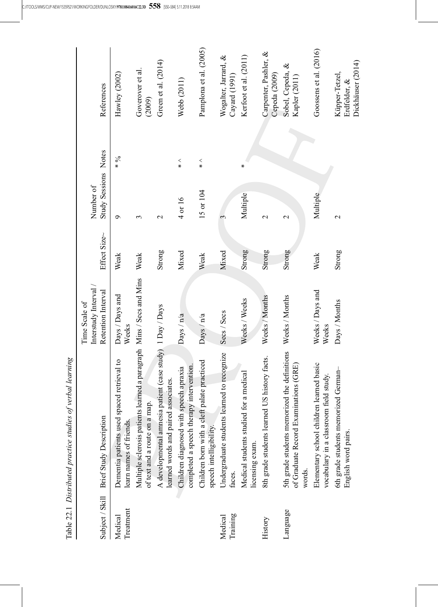|                      | Table 22.1 Distributed practice studies of verbal learning                                            |                                      |              |                      |                |                                                     |
|----------------------|-------------------------------------------------------------------------------------------------------|--------------------------------------|--------------|----------------------|----------------|-----------------------------------------------------|
| Subject / Skill      |                                                                                                       | Interstudy Interval<br>Time Scale of | Effect Size~ | Number of            |                |                                                     |
|                      | <b>Brief Study Description</b>                                                                        | Retention Interval                   |              | Study Sessions Notes |                | References                                          |
| Treatment<br>Medical | Dementia patients used spaced retrieval to<br>learn names of friends.                                 | Days / Days and<br>Weeks             | Weak         | $\sigma$             | $\frac{6}{x}$  | Hawley (2002)                                       |
|                      | Multiple sclerosis patients learned a paragraph Mins / Secs and Mins<br>of text and a route on a map. |                                      | Weak         | $\mathfrak{c}$       |                | Goverover et al.<br>(2009)                          |
|                      | A developmental amnesia patient (case study) 1 Day / Days<br>learned words and paired associates.     |                                      | Strong       | $\mathbf{\sim}$      |                | Green et al. (2014)                                 |
|                      | completed a speech therapy intervention.<br>Children diagnosed with speech apraxia                    | Days / n/a                           | Mixed        | 4 or 16              | $\frac{2}{10}$ | Webb (2011)                                         |
|                      | Children born with a cleft palate practiced<br>speech intelligibility.                                | Days / n/a                           | Weak         | 15 or 104            | $\frac{2}{1}$  | Pamplona et al. (2005)                              |
| Training<br>Medical  | Undergraduate students learned to recognize<br>faces.                                                 | Secs / Secs                          | Mixed        | 3                    |                | Wogalter, Jarrard, &<br>Cayard (1991)               |
|                      | medical<br>Medical students studied for a<br>licensing exam.                                          | Weeks / Weeks                        | Strong       | Multiple             | ∗              | Kerfoot et al. (2011)                               |
| History              | history facts.<br>8th grade students learned US                                                       | Weeks / Months                       | Strong       | $\mathbf{\sim}$      |                | Carpenter, Pashler, &<br>Cepeda (2009)              |
| Language             | the definitions<br>of Graduate Record Examinations (GRE)<br>5th grade students memorized<br>words.    | Weeks / Months                       | Strong       | $\mathbf 2$          |                | Sobel, Cepeda, &<br>Kapler (2011)                   |
|                      | Elementary school children learned basic<br>vocabulary in a classroom field study.                    | Weeks / Days and<br>Weeks            | Weak         | Multiple             |                | Goossens et al. (2016)                              |
|                      | German-<br>6th grade students memorized<br>English word pairs.                                        | Days / Months                        | Strong       | $\mathbf 2$          |                | Dickhäuser (2014)<br>Küpper-Tetzel,<br>Erdfelder, & |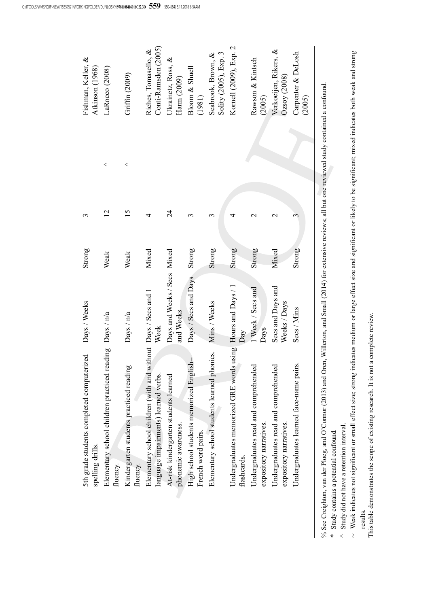| computerized<br>5th grade students completed<br>spelling drills.                                                                                     | Days / Weeks                             | Strong | 3              |       | Fishman, Keller, &<br>Atkinson (1968)        |
|------------------------------------------------------------------------------------------------------------------------------------------------------|------------------------------------------|--------|----------------|-------|----------------------------------------------|
| Elementary school children practiced reading Days / n/a<br>fluency.                                                                                  |                                          | Weak   | $\overline{2}$ | $\,<$ | LaRocco (2008)                               |
| Kindergarten students practiced reading<br>fluency.                                                                                                  | Days / n/a                               | Weak   | 15             | $\,<$ | Griffin (2009)                               |
| Elementary school children (with and without Days / Secs and 1<br>language impairments) learned verbs.                                               | Week                                     | Mixed  | 4              |       | Conti-Ramsden (2005)<br>Riches, Tomasello, & |
| At-risk kindergarten students learned<br>phonemic awareness.                                                                                         | Days and Weeks / Secs Mixed<br>and Weeks |        | 24             |       | Ukrainetz, Ross, &<br>Harm (2009)            |
| High school students memorized English-<br>French word pairs.                                                                                        | Days / Secs and Days                     | Strong | 3              |       | Bloom & Shuell<br>(1981)                     |
| Elementary school students learned phonics.                                                                                                          | Mins / Weeks                             | Strong | $\mathfrak{c}$ |       | Solity (2005), Exp. 3<br>Seabrook, Brown, &  |
| Undergraduates memorized GRE words using Hours and Days / 1<br>flashcards.                                                                           | $\mathop{\rm Day}\nolimits$              | Strong | 4              |       | Kornell (2009), Exp. 2                       |
| Undergraduates read and comprehended<br>expository narratives.                                                                                       | 1 Week / Secs and<br>Days                | Strong | $\mathbf 2$    |       | Rawson & Kintsch<br>(2005)                   |
| Undergraduates read and comprehended<br>expository narratives.                                                                                       | Secs and Days and<br>Weeks / Days        | Mixed  | $\mathbf 2$    |       | Verkoeijen, Rikers, &<br>Ozsoy(2008)         |
| Undergraduates learned face-name pairs.                                                                                                              | Secs / Mins                              | Strong | 3              |       | Carpenter & DeLosh<br>(2005)                 |
| on, van der Ploes, and O'Connor (2013) and Oren. Willerton, and Small (2014) for extensive reviews: all but one reviewed study contained a confound. |                                          |        |                |       |                                              |

% See Creighton, van der Ploeg, and O'Connor (2013) and Oren, Willerton, and Small (2014) for extensive reviews; all but one reviewed study contained a confound.  $\overline{ }$  $\sum_{i=1}^n$ -⊻ .<br>م  $\ddot{\phantom{0}}$  $\ddot{\phantom{1}}$ ⊻ All Study contains a potential confound. % See Creighton,

Study contains a potential confound.

 $^\wedge$  Study did not have a retention interval. Study did not have a retention interval.

~ Weak indicates not significant or small effect size; strong indicates medium or large effect size and significant or likely to be significant; mixed indicates both weak and strong  $\sim$  Weak indicates not signi ficant or small effect size; strong indicates medium or large effect size and signi ficant or likely to be signi ficant; mixed indicates both weak and strong results.

This table demonstrates the scope of existing research. It is not a complete review. This table demonstrates the scope of existing research. It is not a complete review.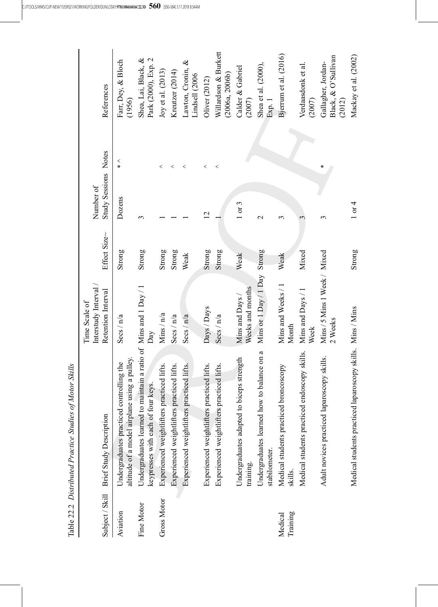|                     | Table 22.2 Distributed Practice Studies of Motor Skills                                                |                                         |              |                      |            |                                                     |
|---------------------|--------------------------------------------------------------------------------------------------------|-----------------------------------------|--------------|----------------------|------------|-----------------------------------------------------|
|                     |                                                                                                        | Interstudy Interval<br>Time Scale of    |              | Number of            |            |                                                     |
| Subject / Skill     | <b>Brief Study Description</b>                                                                         | Retention Interval                      | Effect Size~ | Study Sessions Notes |            | References                                          |
| Aviation            | altitude of a model airplane using a pulley.<br>Undergraduates practiced controlling the               | Secs / n/a                              | Strong       | Dozens               | $\,<$<br>∗ | Farr, Dey, & Bloch<br>(1956)                        |
| Fine Motor          | Undergraduates learned to maintain a ratio of Mins and 1 Day / 1<br>keypresses with each of four keys. | Day                                     | Strong       | 3                    |            | Shea, Lai, Black, &<br>Park (2000), Exp. 2          |
| <b>Gross Motor</b>  | Experienced weightlifters practiced lifts.                                                             | Mins $/ n/a$                            | Strong       |                      | $\,<\,$    | Joy et al. (2013)                                   |
|                     | Experienced weightlifters practiced lifts.                                                             | Secs / n/a                              | Strong       |                      | <          | Kreutzer (2014)                                     |
|                     | Experienced weightlifters practiced lifts.                                                             | Secs/n/a                                | Weak         |                      | <          | Lawton, Cronin, &<br>Lindsell (2006                 |
|                     | Experienced weightlifters practiced lifts.                                                             | Days / Days                             | Strong       | $\overline{2}$       | <          | Oliver (2012)                                       |
|                     | Experienced weightlifters practiced lifts.                                                             | Secs / n/a                              | Strong       |                      | $\,<$      | Willardson & Burkett<br>(2006a, 2006b)              |
|                     | Undergraduates adapted to biceps strength<br>training.                                                 | Weeks and months<br>Mins and Days /     | Weak         | 1 or 3               |            | Calder & Gabriel<br>(2007)                          |
|                     | to balance on a<br>Undergraduates learned how<br>stabilometer.                                         | Mins or 1 Day / 1 Day Strong            |              | $\mathrel{\sim}$     |            | Shea et al. (2000),<br>Exp. 1                       |
| Training<br>Medical | Medical students practiced broncoscopy<br>skills.                                                      | Mins and Weeks / 1<br>Month             | Weak         | 3                    |            | Bjerrum et al. (2016)                               |
|                     | Medical students practiced endoscopy skills.                                                           | Mins and Days / 1<br>Week               | Mixed        | 3                    |            | Verdaasdonk et al.<br>(2007)                        |
|                     | Adult novices practiced laparoscopy skills.                                                            | Mins / 5 Mins 1 Week / Mixed<br>2 Weeks |              | 3                    | ⋇          | Black, & O'Sullivan<br>Gallagher, Jordan-<br>(2012) |
|                     | Medical students practiced laparoscopy skills. Mins / Mins                                             |                                         | Strong       | $1$ or $4$           |            | Mackay et al. (2002)                                |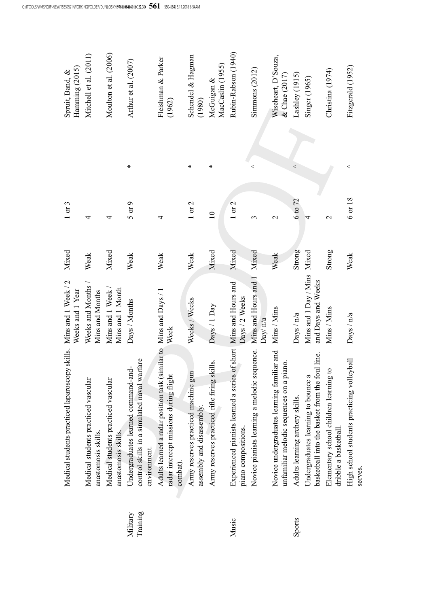|                      | Medical students practiced laparoscopy skills.                                                                           | Mins and 1 Week / 2<br>Weeks and 1 Year                | Mixed  | 1 or 3          |                          | Hamming (2015)<br>Spruit, Band, &    |
|----------------------|--------------------------------------------------------------------------------------------------------------------------|--------------------------------------------------------|--------|-----------------|--------------------------|--------------------------------------|
|                      | Medical students practiced vascular<br>anastomosis skills.                                                               | Weeks and Months /<br>Mins and Months                  | Weak   | 4               |                          | Mitchell et al. (2011)               |
|                      | Medical students practiced vascular<br>anastomosis skills.                                                               | Mins and 1 Week /<br>Mins and 1 Month                  | Mixed  | 4               |                          | Moulton et al. (2006)                |
| Training<br>Military | naval warfare<br>Undergraduates learned command-and-<br>control skills in a simulated<br>environment.                    | Days / Months                                          | Weak   | $5$ or $9$      | ∗                        | Arthur et al. (2007)                 |
|                      | Adults learned a radar position task (similar to Mins and Days / 1<br>radar intercept missions during flight<br>combat). | Week                                                   | Weak   | 4               |                          | Fleishman & Parker<br>(1962)         |
|                      | Army reserves practiced machine gun<br>assembly and disassembly.                                                         | Weeks / Weeks                                          | Weak   | $1$ or $2$      | ₩                        | Schendel & Hagman<br>(1980)          |
|                      | Army reserves practiced rifle firing skills.                                                                             | Days / 1 Day                                           | Mixed  | $\overline{10}$ | ∗                        | MacCaslin (1955)<br>McGuigan &       |
| Music                | Experienced pianists learned<br>piano compositions.                                                                      | a series of short Mins and Hours and<br>Days / 2 Weeks | Mixed  | $1$ or $2$      |                          | Rubin-Rabson (1940)                  |
|                      | Novice pianists learning a melodic sequence.                                                                             | Mins and Hours and 1<br>Day/ $n/a$                     | Mixed  | 3               | $\overline{\phantom{a}}$ | Simmons $(2012)$                     |
|                      | Novice undergraduates learning familiar and<br>unfamiliar melodic sequences on a piano.                                  | Mins / Mins                                            | Weak   | $\mathbf 2$     |                          | Wiseheart, D'Souza,<br>& Chae (2017) |
| Sports               | Adults learning archery skills.                                                                                          | Days / n/a                                             | Strong | 6 to 72         | $\,<$                    | Lashley (1915)                       |
|                      | basketball into the basket from the foul line.<br>Undergraduates learning to bounce a                                    | Mins and 1 Day / Mins<br>and Days and Weeks            | Mixed  |                 |                          | Singer (1965)                        |
|                      | learning to<br>Elementary school children<br>dribble a basketball.                                                       | Mins / Mins                                            | Strong | $\mathbf 2$     |                          | Christina (1974)                     |
|                      | High school students practicing volleyball<br>serves.                                                                    | Days / n/a                                             | Weak   | 6 or 18         | $\,<$                    | Fitzgerald (1952)                    |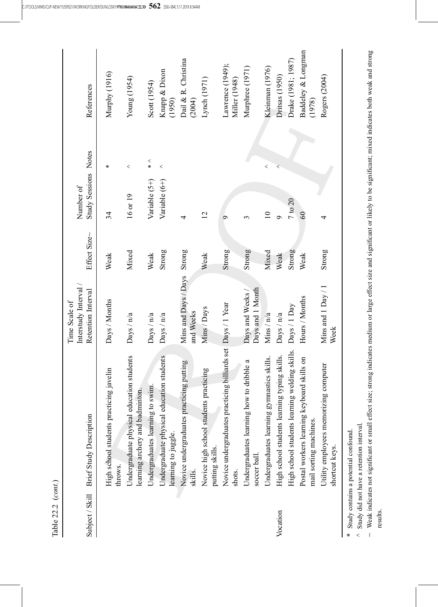| Table 22.2 (cont.) |                                                                              |                                          |              |                      |                |                                   |
|--------------------|------------------------------------------------------------------------------|------------------------------------------|--------------|----------------------|----------------|-----------------------------------|
|                    |                                                                              | Interstudy Interval<br>Time Scale of     |              | Number of            |                |                                   |
| Subject / Skill    | <b>Brief Study Description</b>                                               | Retention Interval                       | Effect Size~ | Study Sessions Notes |                | References                        |
|                    | High school students practicing javelin<br>throws.                           | Days / Months                            | Weak         | 34                   | ⋇              | Murphy (1916)                     |
|                    | Undergraduate physical education students<br>learning archery and badminton. | Days / n/a                               | Mixed        | 16 or 19             | $\,<$          | Young (1954)                      |
|                    | Undergraduates learning to swim.                                             | Days / n/a                               | Weak         | Variable (5+)        | $\frac{2}{10}$ | Scott (1954)                      |
|                    | Undergraduate physical education students<br>learning to juggle.             | $\text{Days} / \text{n/a}$               | Strong       | Variable (6+)        | $\,<$          | Knapp & Dixon<br>(1950)           |
|                    | Novice undergraduates practicing putting<br>skills.                          | Mins and Days / Days Strong<br>and Weeks |              | 4                    |                | Dail & R. Christina<br>(2004)     |
|                    | practicing<br>Novice high school students<br>putting skills.                 | Mins / Days                              | Weak         | 12                   |                | Lynch (1971)                      |
|                    | Novice undergraduates practicing billiards set Days / 1 Year<br>shots.       |                                          | Strong       | $\sigma$             |                | Lawrence (1949);<br>Miller (1948) |
|                    | Undergraduates learning how to dribble a<br>soccer ball.                     | Days and 1 Month<br>Days and Weeks/      | Strong       | $\mathfrak{g}$       |                | Murphree (1971)                   |
|                    | Undergraduates learning gymnastics skills.                                   | Mins / $n/a$                             | Mixed        | $\overline{10}$      | $\,<$          | Kleinman (1976)                   |
| Vocation           | ng typing skills.<br>High school students learnin                            | Days / n/a                               | Weak         | Ò                    | ⋖              | Dritsas (1950)                    |
|                    | ig welding skills.<br>High school students learnin                           | Days / 1 Day                             | Strong       | 7 to 20              |                | Drake (1981; 1987)                |
|                    | Postal workers learning keyboard skills on<br>mail sorting machines.         | Hours / Months                           | Weak         | 60                   |                | Baddeley & Longman<br>(1978)      |
|                    | Utility employees memorizing computer<br>shortcut keys.                      | Mins and $1$ Day / $1$<br>Week           | Strong       | 4                    |                | Rogers (2004)                     |
|                    |                                                                              |                                          |              |                      |                |                                   |

\* Study contains a potential confound. Study contains a potential confound.

Study did not have a retention interval.

 $\lt$  i  $\sim$  Weak indicates not significant or small effect size; strong indicates medium or large effect size and significant or likely to be significant; mixed indicates both weak and strong results.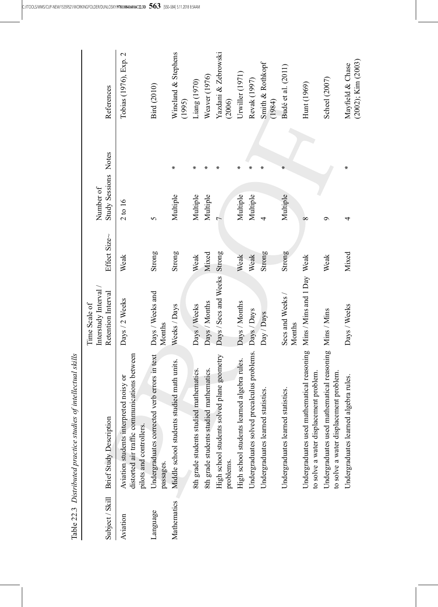|                 | Table 22.3 Distributed practice studies of intellectual skills                                                    |                                      |              |                      |    |                                             |
|-----------------|-------------------------------------------------------------------------------------------------------------------|--------------------------------------|--------------|----------------------|----|---------------------------------------------|
|                 |                                                                                                                   | Interstudy Interval<br>Time Scale of |              | Number of            |    |                                             |
| Subject / Skill | <b>Brief Study Description</b>                                                                                    | Retention Interval                   | Effect Size~ | Study Sessions Notes |    | References                                  |
| Aviation        | distorted air traffic communications between<br>Aviation students interpreted noisy or<br>pilots and controllers. | Days / 2 Weeks                       | Weak         | 2 to 16              |    | Tobias (1976), Exp. 2                       |
| Language        | Undergraduates corrected verb errors in text<br>passages                                                          | Days / Weeks and<br>Months           | Strong       | 5                    |    | <b>Bird</b> (2010)                          |
| Mathematics     | Middle school students studied math units.                                                                        | Weeks / Days                         | Strong       | Multiple             | ∗  | Wineland & Stephens<br>(1995)               |
|                 | 8th grade students studied mathematics.                                                                           | Days / Weeks                         | Weak         | Multiple             | ∗  | Liang (1970)                                |
|                 | 8th grade students studied mathematics.                                                                           | Days / Months                        | Mixed        | Multiple             | ⋇  | Weaver (1976)                               |
|                 | High school students solved plane geometry<br>problems.                                                           | Days / Secs and Weeks Strong         |              |                      | ⋇  | Yazdani & Zebrowski<br>(2006)               |
|                 | High school students learned algebra rules.                                                                       | Days / Months                        | Weak         | Multiple             | ∗  | Urwiller (1971)                             |
|                 | Undergraduates solved precalculus problems.                                                                       | Days / Days                          | Weak         | Multiple             | ∗  | Revak (1997)                                |
|                 | Undergraduates learned statistics.                                                                                | Day / Days                           | Strong       | 4                    | ∗  | Smith & Rothkopf<br>(1984)                  |
|                 | Undergraduates learned statistics.                                                                                | Secs and Weeks /<br>Months           | Strong       | Multiple             | ¥. | Budé et al. (2011)                          |
|                 | Undergraduates used mathematical reasoning Mins / Mins and 1 Day Weak<br>to solve a water displacement problem.   |                                      |              | $\infty$             |    | Hunt (1969)                                 |
|                 | Undergraduates used mathematical reasoning Mins / Mins<br>to solve a water displacement problem.                  |                                      | Weak         | ≎                    |    | Scheel (2007)                               |
|                 | Undergraduates learned algebra rules.                                                                             | Days / Weeks                         | Mixed        | 4                    | ∗  | $(2002)$ ; Kim $(2003)$<br>Mayfield & Chase |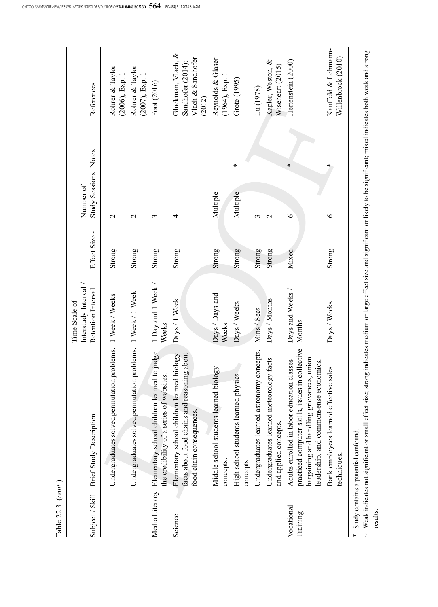| Table 22.3 ( <i>cont</i> .) |                                                                                                                                                                                         |                                      |              |                      |                                                                        |
|-----------------------------|-----------------------------------------------------------------------------------------------------------------------------------------------------------------------------------------|--------------------------------------|--------------|----------------------|------------------------------------------------------------------------|
|                             |                                                                                                                                                                                         | Interstudy Interval<br>Time Scale of |              | Number of            |                                                                        |
| Subject / Skill             | <b>Brief Study Description</b>                                                                                                                                                          | Retention Interval                   | Effect Size~ | Study Sessions Notes | References                                                             |
|                             | Undergraduates solved permutation problems. 1 Week / Weeks                                                                                                                              |                                      | Strong       | $\mathbf{\sim}$      | Rohrer & Taylor<br>(2006), Exp. 1                                      |
|                             | Undergraduates solved permutation problems. 1 Week / 1 Week                                                                                                                             |                                      | Strong       | $\mathcal{L}$        | Rohrer & Taylor<br>(2007), Exp. 1                                      |
|                             | Media Literacy Elementary school children learned to judge<br>the credibility of a series of websites.                                                                                  | 1 Day and 1 Week /<br>Weeks          | Strong       | ξ                    | Foot (2016)                                                            |
| Science                     | facts about food chains and reasoning about<br>Elementary school children learned biology<br>food chain consequences.                                                                   | Days / 1 Week                        | Strong       | 4                    | Gluckman, Vlach, &<br>Vlach & Sandhofer<br>Sandhofer (2014);<br>(2012) |
|                             | Middle school students learned biology<br>concepts.                                                                                                                                     | Days / Days and<br>Weeks             | Strong       | Multiple             | Reynolds & Glaser<br>$(1964)$ , Exp. 1                                 |
|                             | High school students learned physics<br>concepts.                                                                                                                                       | Days / Weeks                         | Strong       | ⋇<br>Multiple        | Grote (1995)                                                           |
|                             | Undergraduates learned astronomy concepts.                                                                                                                                              | Mins / Secs                          | Strong       | 3                    | Lu (1978)                                                              |
|                             | Undergraduates learned meteorology facts<br>and applied concepts.                                                                                                                       | Days / Months                        | Strong       | $\mathbf{C}$         | Kapler, Weston, &<br>Wiseheart (2015)                                  |
| Vocational<br>Training      | practiced computer skills, issues in collective<br>bargaining and handling grievances, union<br>Adults enrolled in labor education classes<br>economics.<br>leadership, and commonsense | Days and Weeks /<br>Months           | Mixed        | ∗<br>$\bullet$       | Hertenstein (2000)                                                     |
|                             | Bank employees learned effective sales<br>techniques.                                                                                                                                   | Days / Weeks                         | Strong       | ⋇<br>७               | Kauffeld & Lehmann-<br>Willenbrock (2010)                              |
|                             | Study contains a potential confound.                                                                                                                                                    |                                      |              |                      |                                                                        |

~ Weak indicates not significant or small effect size; strong indicates medium or large effect size and significant or likely to be significant; mixed indicates both weak and strong  $\sim$  Weak indicates not signi ficant or small effect size; strong indicates medium or large effect size and signi ficant or likely to be signi ficant; mixed indicates both weak and strong results.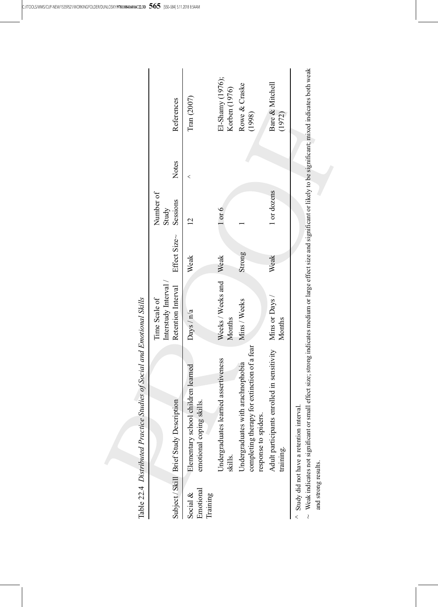|                                      | Table 22.4 Distributed Practice Studies of Social and Emotional Skills                                                                                                                  |                                                            |              |                                |       |                                   |
|--------------------------------------|-----------------------------------------------------------------------------------------------------------------------------------------------------------------------------------------|------------------------------------------------------------|--------------|--------------------------------|-------|-----------------------------------|
|                                      | Subject / Skill Brief Study Description                                                                                                                                                 | Interstudy Interval<br>Retention Interval<br>Time Scale of | Effect Size~ | Number of<br>Sessions<br>Study | Notes | References                        |
| Emotional<br>Social $\&$<br>Training | children learned<br>emotional coping skills.<br>Elementary school                                                                                                                       | $\text{Days} / \text{n/a}$                                 | Weak         |                                | <     | Tran (2007)                       |
|                                      | Undergraduates learned assertiveness<br>skills.                                                                                                                                         | Weeks / Weeks and<br>Months                                | Weak         | $1$ or $6$                     |       | El-Shamy (1976);<br>Korben (1976) |
|                                      | completing therapy for extinction of a fear<br>Undergraduates with arachnophobia<br>response to spiders                                                                                 | Mins / Weeks                                               | Strong       |                                |       | Rowe & Craske<br>(1998)           |
|                                      | Adult participants enrolled in sensitivity Mins or Days<br>training.                                                                                                                    | Months                                                     | Weak         | 1 or dozens                    |       | Bare & Mitchell<br>(1972)         |
|                                      | . Walt indicates with our crossed affect circumstantions or loves of the crossed circuificate in the legislation in the indicate hath weak<br>A Study did not have a retention interval |                                                            |              |                                |       |                                   |

 $\sim$  Weak indicates not significant or small effect size; strong indicates medium or large effect size and significant or likely to be significant; mixed indicates both weak ficant; mixed indicates both weak ficant or likely to be signi ficant or small effect size; strong indicates medium or large effect size and signi  $\sim$  Weak indicates not signi and strong results. and strong results.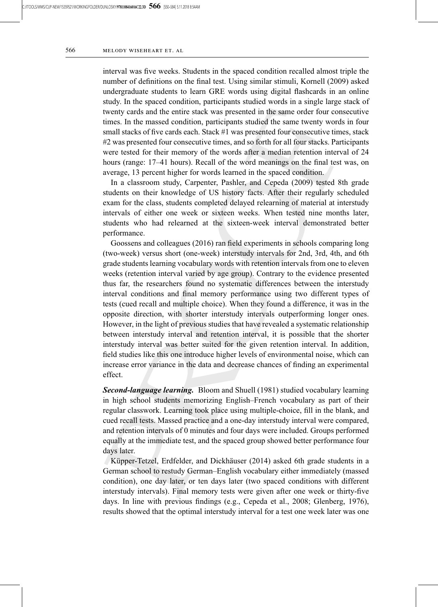interval was five weeks. Students in the spaced condition recalled almost triple the number of definitions on the final test. Using similar stimuli, Kornell (2009) asked undergraduate students to learn GRE words using digital flashcards in an online study. In the spaced condition, participants studied words in a single large stack of twenty cards and the entire stack was presented in the same order four consecutive times. In the massed condition, participants studied the same twenty words in four small stacks of five cards each. Stack #1 was presented four consecutive times, stack #2 was presented four consecutive times, and so forth for all four stacks. Participants were tested for their memory of the words after a median retention interval of 24 hours (range: 17–41 hours). Recall of the word meanings on the final test was, on average, 13 percent higher for words learned in the spaced condition.

In a classroom study, Carpenter, Pashler, and Cepeda (2009) tested 8th grade students on their knowledge of US history facts. After their regularly scheduled exam for the class, students completed delayed relearning of material at interstudy intervals of either one week or sixteen weeks. When tested nine months later, students who had relearned at the sixteen-week interval demonstrated better performance.

Goossens and colleagues (2016) ran field experiments in schools comparing long (two-week) versus short (one-week) interstudy intervals for 2nd, 3rd, 4th, and 6th grade students learning vocabulary words with retention intervals from one to eleven weeks (retention interval varied by age group). Contrary to the evidence presented thus far, the researchers found no systematic differences between the interstudy interval conditions and final memory performance using two different types of tests (cued recall and multiple choice). When they found a difference, it was in the opposite direction, with shorter interstudy intervals outperforming longer ones. However, in the light of previous studies that have revealed a systematic relationship between interstudy interval and retention interval, it is possible that the shorter interstudy interval was better suited for the given retention interval. In addition, field studies like this one introduce higher levels of environmental noise, which can increase error variance in the data and decrease chances of finding an experimental effect.

Second-language learning. Bloom and Shuell (1981) studied vocabulary learning in high school students memorizing English–French vocabulary as part of their regular classwork. Learning took place using multiple-choice, fill in the blank, and cued recall tests. Massed practice and a one-day interstudy interval were compared, and retention intervals of 0 minutes and four days were included. Groups performed equally at the immediate test, and the spaced group showed better performance four days later.

Küpper-Tetzel, Erdfelder, and Dickhäuser (2014) asked 6th grade students in a German school to restudy German–English vocabulary either immediately (massed condition), one day later, or ten days later (two spaced conditions with different interstudy intervals). Final memory tests were given after one week or thirty-five days. In line with previous findings (e.g., Cepeda et al., 2008; Glenberg, 1976), results showed that the optimal interstudy interval for a test one week later was one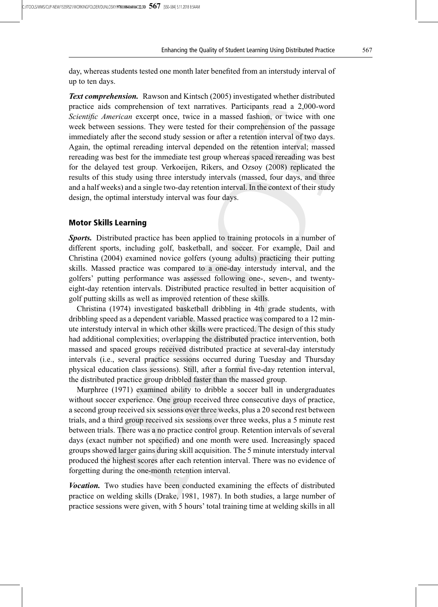day, whereas students tested one month later benefited from an interstudy interval of up to ten days.

**Text comprehension.** Rawson and Kintsch (2005) investigated whether distributed practice aids comprehension of text narratives. Participants read a 2,000-word Scientific American excerpt once, twice in a massed fashion, or twice with one week between sessions. They were tested for their comprehension of the passage immediately after the second study session or after a retention interval of two days. Again, the optimal rereading interval depended on the retention interval; massed rereading was best for the immediate test group whereas spaced rereading was best for the delayed test group. Verkoeijen, Rikers, and Ozsoy (2008) replicated the results of this study using three interstudy intervals (massed, four days, and three and a half weeks) and a single two-day retention interval. In the context of their study design, the optimal interstudy interval was four days.

# Motor Skills Learning

**Sports.** Distributed practice has been applied to training protocols in a number of different sports, including golf, basketball, and soccer. For example, Dail and Christina (2004) examined novice golfers (young adults) practicing their putting skills. Massed practice was compared to a one-day interstudy interval, and the golfers' putting performance was assessed following one-, seven-, and twentyeight-day retention intervals. Distributed practice resulted in better acquisition of golf putting skills as well as improved retention of these skills.

Christina (1974) investigated basketball dribbling in 4th grade students, with dribbling speed as a dependent variable. Massed practice was compared to a 12 minute interstudy interval in which other skills were practiced. The design of this study had additional complexities; overlapping the distributed practice intervention, both massed and spaced groups received distributed practice at several-day interstudy intervals (i.e., several practice sessions occurred during Tuesday and Thursday physical education class sessions). Still, after a formal five-day retention interval, the distributed practice group dribbled faster than the massed group.

Murphree (1971) examined ability to dribble a soccer ball in undergraduates without soccer experience. One group received three consecutive days of practice, a second group received six sessions over three weeks, plus a 20 second rest between trials, and a third group received six sessions over three weeks, plus a 5 minute rest between trials. There was a no practice control group. Retention intervals of several days (exact number not specified) and one month were used. Increasingly spaced groups showed larger gains during skill acquisition. The 5 minute interstudy interval produced the highest scores after each retention interval. There was no evidence of forgetting during the one-month retention interval.

**Vocation.** Two studies have been conducted examining the effects of distributed practice on welding skills (Drake, 1981, 1987). In both studies, a large number of practice sessions were given, with 5 hours' total training time at welding skills in all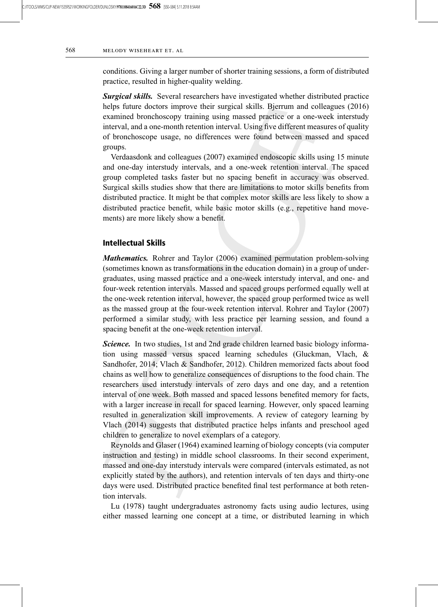conditions. Giving a larger number of shorter training sessions, a form of distributed practice, resulted in higher-quality welding.

**Surgical skills.** Several researchers have investigated whether distributed practice helps future doctors improve their surgical skills. Bjerrum and colleagues (2016) examined bronchoscopy training using massed practice or a one-week interstudy interval, and a one-month retention interval. Using five different measures of quality of bronchoscope usage, no differences were found between massed and spaced groups.

Verdaasdonk and colleagues (2007) examined endoscopic skills using 15 minute and one-day interstudy intervals, and a one-week retention interval. The spaced group completed tasks faster but no spacing benefit in accuracy was observed. Surgical skills studies show that there are limitations to motor skills benefits from distributed practice. It might be that complex motor skills are less likely to show a distributed practice benefit, while basic motor skills (e.g., repetitive hand movements) are more likely show a benefit.

## Intellectual Skills

Mathematics. Rohrer and Taylor (2006) examined permutation problem-solving (sometimes known as transformations in the education domain) in a group of undergraduates, using massed practice and a one-week interstudy interval, and one- and four-week retention intervals. Massed and spaced groups performed equally well at the one-week retention interval, however, the spaced group performed twice as well as the massed group at the four-week retention interval. Rohrer and Taylor (2007) performed a similar study, with less practice per learning session, and found a spacing benefit at the one-week retention interval.

Science. In two studies, 1st and 2nd grade children learned basic biology information using massed versus spaced learning schedules (Gluckman, Vlach, & Sandhofer, 2014; Vlach & Sandhofer, 2012). Children memorized facts about food chains as well how to generalize consequences of disruptions to the food chain. The researchers used interstudy intervals of zero days and one day, and a retention interval of one week. Both massed and spaced lessons benefited memory for facts, with a larger increase in recall for spaced learning. However, only spaced learning resulted in generalization skill improvements. A review of category learning by Vlach (2014) suggests that distributed practice helps infants and preschool aged children to generalize to novel exemplars of a category.

Reynolds and Glaser (1964) examined learning of biology concepts (via computer instruction and testing) in middle school classrooms. In their second experiment, massed and one-day interstudy intervals were compared (intervals estimated, as not explicitly stated by the authors), and retention intervals of ten days and thirty-one days were used. Distributed practice benefited final test performance at both retention intervals.

Lu (1978) taught undergraduates astronomy facts using audio lectures, using either massed learning one concept at a time, or distributed learning in which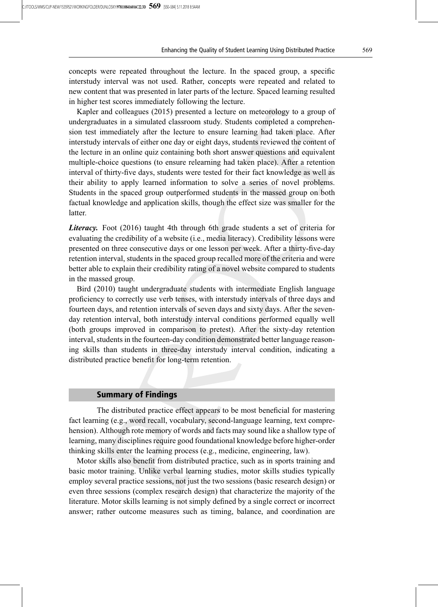concepts were repeated throughout the lecture. In the spaced group, a specific interstudy interval was not used. Rather, concepts were repeated and related to new content that was presented in later parts of the lecture. Spaced learning resulted in higher test scores immediately following the lecture.

Kapler and colleagues (2015) presented a lecture on meteorology to a group of undergraduates in a simulated classroom study. Students completed a comprehension test immediately after the lecture to ensure learning had taken place. After interstudy intervals of either one day or eight days, students reviewed the content of the lecture in an online quiz containing both short answer questions and equivalent multiple-choice questions (to ensure relearning had taken place). After a retention interval of thirty-five days, students were tested for their fact knowledge as well as their ability to apply learned information to solve a series of novel problems. Students in the spaced group outperformed students in the massed group on both factual knowledge and application skills, though the effect size was smaller for the latter.

Literacy. Foot (2016) taught 4th through 6th grade students a set of criteria for evaluating the credibility of a website (i.e., media literacy). Credibility lessons were presented on three consecutive days or one lesson per week. After a thirty-five-day retention interval, students in the spaced group recalled more of the criteria and were better able to explain their credibility rating of a novel website compared to students in the massed group.

Bird (2010) taught undergraduate students with intermediate English language proficiency to correctly use verb tenses, with interstudy intervals of three days and fourteen days, and retention intervals of seven days and sixty days. After the sevenday retention interval, both interstudy interval conditions performed equally well (both groups improved in comparison to pretest). After the sixty-day retention interval, students in the fourteen-day condition demonstrated better language reasoning skills than students in three-day interstudy interval condition, indicating a distributed practice benefit for long-term retention.

### Summary of Findings

The distributed practice effect appears to be most beneficial for mastering fact learning (e.g., word recall, vocabulary, second-language learning, text comprehension). Although rote memory of words and facts may sound like a shallow type of learning, many disciplines require good foundational knowledge before higher-order thinking skills enter the learning process (e.g., medicine, engineering, law).

Motor skills also benefit from distributed practice, such as in sports training and basic motor training. Unlike verbal learning studies, motor skills studies typically employ several practice sessions, not just the two sessions (basic research design) or even three sessions (complex research design) that characterize the majority of the literature. Motor skills learning is not simply defined by a single correct or incorrect answer; rather outcome measures such as timing, balance, and coordination are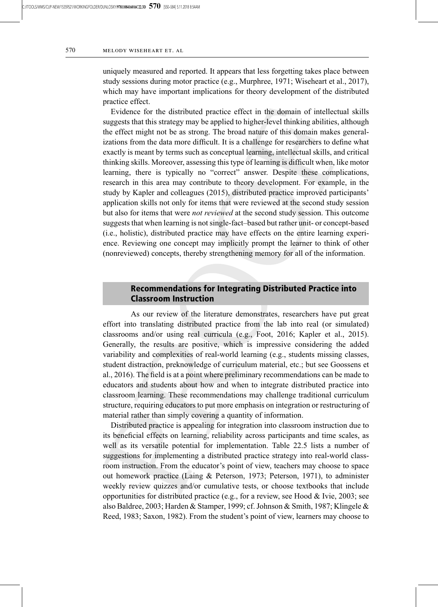uniquely measured and reported. It appears that less forgetting takes place between study sessions during motor practice (e.g., Murphree, 1971; Wiseheart et al., 2017), which may have important implications for theory development of the distributed practice effect.

Evidence for the distributed practice effect in the domain of intellectual skills suggests that this strategy may be applied to higher-level thinking abilities, although the effect might not be as strong. The broad nature of this domain makes generalizations from the data more difficult. It is a challenge for researchers to define what exactly is meant by terms such as conceptual learning, intellectual skills, and critical thinking skills. Moreover, assessing this type of learning is difficult when, like motor learning, there is typically no "correct" answer. Despite these complications, research in this area may contribute to theory development. For example, in the study by Kapler and colleagues (2015), distributed practice improved participants' application skills not only for items that were reviewed at the second study session but also for items that were not reviewed at the second study session. This outcome suggests that when learning is not single-fact–based but rather unit- or concept-based (i.e., holistic), distributed practice may have effects on the entire learning experience. Reviewing one concept may implicitly prompt the learner to think of other (nonreviewed) concepts, thereby strengthening memory for all of the information.

# Recommendations for Integrating Distributed Practice into Classroom Instruction

As our review of the literature demonstrates, researchers have put great effort into translating distributed practice from the lab into real (or simulated) classrooms and/or using real curricula (e.g., Foot, 2016; Kapler et al., 2015). Generally, the results are positive, which is impressive considering the added variability and complexities of real-world learning (e.g., students missing classes, student distraction, preknowledge of curriculum material, etc.; but see Goossens et al., 2016). The field is at a point where preliminary recommendations can be made to educators and students about how and when to integrate distributed practice into classroom learning. These recommendations may challenge traditional curriculum structure, requiring educators to put more emphasis on integration or restructuring of material rather than simply covering a quantity of information.

Distributed practice is appealing for integration into classroom instruction due to its beneficial effects on learning, reliability across participants and time scales, as well as its versatile potential for implementation. Table 22.5 lists a number of suggestions for implementing a distributed practice strategy into real-world classroom instruction. From the educator's point of view, teachers may choose to space out homework practice (Laing & Peterson, 1973; Peterson, 1971), to administer weekly review quizzes and/or cumulative tests, or choose textbooks that include opportunities for distributed practice (e.g., for a review, see Hood  $&$  Ivie, 2003; see also Baldree, 2003; Harden & Stamper, 1999; cf. Johnson & Smith, 1987; Klingele & Reed, 1983; Saxon, 1982). From the student's point of view, learners may choose to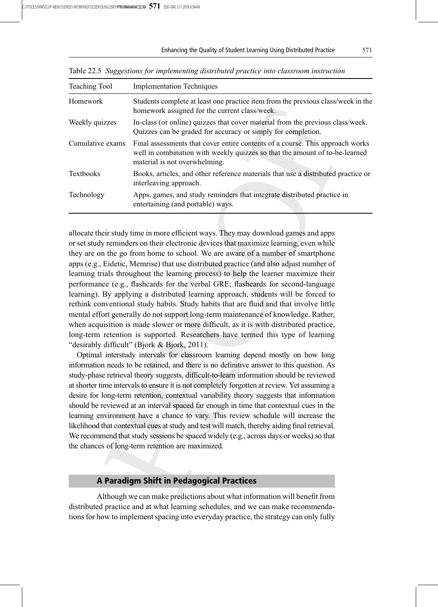#### Enhancing the Quality of Student Learning Using Distributed Practice 571

| <b>Teaching Tool</b> | <b>Implementation Techniques</b>                                                                                                                                                              |
|----------------------|-----------------------------------------------------------------------------------------------------------------------------------------------------------------------------------------------|
| Homework             | Students complete at least one practice item from the previous class/week in the<br>homework assigned for the current class/week.                                                             |
| Weekly quizzes       | In-class (or online) quizzes that cover material from the previous class/week.<br>Quizzes can be graded for accuracy or simply for completion.                                                |
| Cumulative exams     | Final assessments that cover entire contents of a course. This approach works<br>well in combination with weekly quizzes so that the amount of to-be-learned<br>material is not overwhelming. |
| <b>Textbooks</b>     | Books, articles, and other reference materials that use a distributed practice or<br>interleaving approach.                                                                                   |
| Technology           | Apps, games, and study reminders that integrate distributed practice in<br>entertaining (and portable) ways.                                                                                  |

Table 22.5 Suggestions for implementing distributed practice into classroom instruction

allocate their study time in more efficient ways. They may download games and apps or set study reminders on their electronic devices that maximize learning, even while they are on the go from home to school. We are aware of a number of smartphone apps (e.g., Eidetic, Memrise) that use distributed practice (and also adjust number of learning trials throughout the learning process) to help the learner maximize their performance (e.g., flashcards for the verbal GRE; flashcards for second-language learning). By applying a distributed learning approach, students will be forced to rethink conventional study habits. Study habits that are fluid and that involve little mental effort generally do not support long-term maintenance of knowledge. Rather, when acquisition is made slower or more difficult, as it is with distributed practice, long-term retention is supported. Researchers have termed this type of learning "desirably difficult" (Bjork & Bjork, 2011).

Optimal interstudy intervals for classroom learning depend mostly on how long information needs to be retained, and there is no definitive answer to this question. As study-phase retrieval theory suggests, difficult-to-learn information should be reviewed at shorter time intervals to ensure it is not completely forgotten at review. Yet assuming a desire for long-term retention, contextual variability theory suggests that information should be reviewed at an interval spaced far enough in time that contextual cues in the learning environment have a chance to vary. This review schedule will increase the likelihood that contextual cues at study and test will match, thereby aiding final retrieval. We recommend that study sessions be spaced widely (e.g., across days or weeks) so that the chances of long-term retention are maximized.

# A Paradigm Shift in Pedagogical Practices

Although we can make predictions about what information will benefit from distributed practice and at what learning schedules, and we can make recommendations for how to implement spacing into everyday practice, the strategy can only fully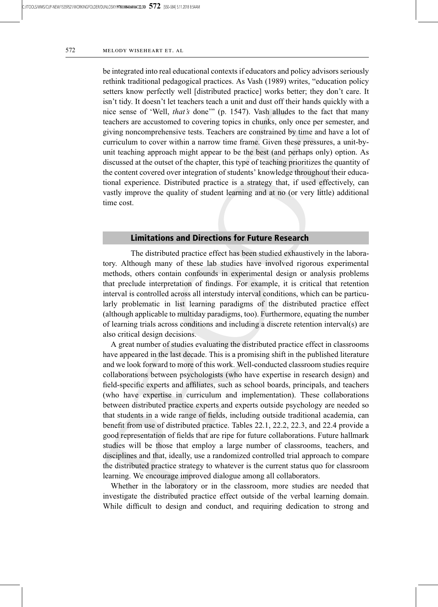be integrated into real educational contexts if educators and policy advisors seriously rethink traditional pedagogical practices. As Vash (1989) writes, "education policy setters know perfectly well [distributed practice] works better; they don't care. It isn't tidy. It doesn't let teachers teach a unit and dust off their hands quickly with a nice sense of 'Well, *that's* done'" (p. 1547). Vash alludes to the fact that many teachers are accustomed to covering topics in chunks, only once per semester, and giving noncomprehensive tests. Teachers are constrained by time and have a lot of curriculum to cover within a narrow time frame. Given these pressures, a unit-byunit teaching approach might appear to be the best (and perhaps only) option. As discussed at the outset of the chapter, this type of teaching prioritizes the quantity of the content covered over integration of students' knowledge throughout their educational experience. Distributed practice is a strategy that, if used effectively, can vastly improve the quality of student learning and at no (or very little) additional time cost.

## Limitations and Directions for Future Research

The distributed practice effect has been studied exhaustively in the laboratory. Although many of these lab studies have involved rigorous experimental methods, others contain confounds in experimental design or analysis problems that preclude interpretation of findings. For example, it is critical that retention interval is controlled across all interstudy interval conditions, which can be particularly problematic in list learning paradigms of the distributed practice effect (although applicable to multiday paradigms, too). Furthermore, equating the number of learning trials across conditions and including a discrete retention interval(s) are also critical design decisions.

A great number of studies evaluating the distributed practice effect in classrooms have appeared in the last decade. This is a promising shift in the published literature and we look forward to more of this work. Well-conducted classroom studies require collaborations between psychologists (who have expertise in research design) and field-specific experts and affiliates, such as school boards, principals, and teachers (who have expertise in curriculum and implementation). These collaborations between distributed practice experts and experts outside psychology are needed so that students in a wide range of fields, including outside traditional academia, can benefit from use of distributed practice. Tables 22.1, 22.2, 22.3, and 22.4 provide a good representation of fields that are ripe for future collaborations. Future hallmark studies will be those that employ a large number of classrooms, teachers, and disciplines and that, ideally, use a randomized controlled trial approach to compare the distributed practice strategy to whatever is the current status quo for classroom learning. We encourage improved dialogue among all collaborators.

Whether in the laboratory or in the classroom, more studies are needed that investigate the distributed practice effect outside of the verbal learning domain. While difficult to design and conduct, and requiring dedication to strong and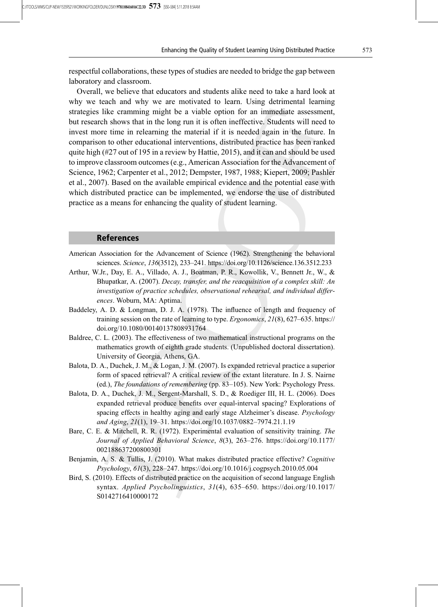respectful collaborations, these types of studies are needed to bridge the gap between laboratory and classroom.

Overall, we believe that educators and students alike need to take a hard look at why we teach and why we are motivated to learn. Using detrimental learning strategies like cramming might be a viable option for an immediate assessment, but research shows that in the long run it is often ineffective. Students will need to invest more time in relearning the material if it is needed again in the future. In comparison to other educational interventions, distributed practice has been ranked quite high  $(\#27)$  out of 195 in a review by Hattie, 2015), and it can and should be used to improve classroom outcomes (e.g., American Association for the Advancement of Science, 1962; Carpenter et al., 2012; Dempster, 1987, 1988; Kiepert, 2009; Pashler et al., 2007). Based on the available empirical evidence and the potential ease with which distributed practice can be implemented, we endorse the use of distributed practice as a means for enhancing the quality of student learning.

### References

- American Association for the Advancement of Science (1962). Strengthening the behavioral sciences. Science, 136(3512), 233–241. https://doi.org/10.1126/science.136.3512.233
- Arthur, W.Jr., Day, E. A., Villado, A. J., Boatman, P. R., Kowollik, V., Bennett Jr., W., & Bhupatkar, A. (2007). Decay, transfer, and the reacquisition of a complex skill: An investigation of practice schedules, observational rehearsal, and individual differences. Woburn, MA: Aptima.
- Baddeley, A. D. & Longman, D. J. A. (1978). The influence of length and frequency of training session on the rate of learning to type. Ergonomics, 21(8), 627–635. https:// doi.org/10.1080/00140137808931764
- Baldree, C. L. (2003). The effectiveness of two mathematical instructional programs on the mathematics growth of eighth grade students. (Unpublished doctoral dissertation). University of Georgia, Athens, GA.
- Balota, D. A., Duchek, J. M., & Logan, J. M. (2007). Is expanded retrieval practice a superior form of spaced retrieval? A critical review of the extant literature. In J. S. Nairne (ed.), The foundations of remembering (pp. 83–105). New York: Psychology Press.
- Balota, D. A., Duchek, J. M., Sergent-Marshall, S. D., & Roediger III, H. L. (2006). Does expanded retrieval produce benefits over equal-interval spacing? Explorations of spacing effects in healthy aging and early stage Alzheimer's disease. *Psychology* and Aging, 21(1), 19–31. https://doi.org/10.1037/0882–7974.21.1.19
- Bare, C. E. & Mitchell, R. R. (1972). Experimental evaluation of sensitivity training. The Journal of Applied Behavioral Science, 8(3), 263–276. https://doi.org/10.1177/ 002188637200800301
- Benjamin, A. S. & Tullis, J. (2010). What makes distributed practice effective? Cognitive Psychology, 61(3), 228–247. https://doi.org/10.1016/j.cogpsych.2010.05.004
- Bird, S. (2010). Effects of distributed practice on the acquisition of second language English syntax. Applied Psycholinguistics, 31(4), 635–650. https://doi.org/10.1017/ S0142716410000172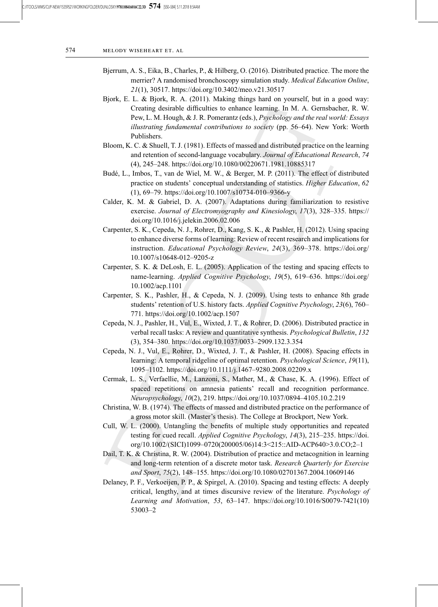- Bjerrum, A. S., Eika, B., Charles, P., & Hilberg, O. (2016). Distributed practice. The more the merrier? A randomised bronchoscopy simulation study. Medical Education Online, 21(1), 30517. https://doi.org/10.3402/meo.v21.30517
- Bjork, E. L. & Bjork, R. A. (2011). Making things hard on yourself, but in a good way: Creating desirable difficulties to enhance learning. In M. A. Gernsbacher, R. W. Pew, L. M. Hough, & J. R. Pomerantz (eds.), Psychology and the real world: Essays illustrating fundamental contributions to society (pp. 56–64). New York: Worth Publishers.
- Bloom, K. C. & Shuell, T. J. (1981). Effects of massed and distributed practice on the learning and retention of second-language vocabulary. Journal of Educational Research, 74 (4), 245–248. https://doi.org/10.1080/00220671.1981.10885317
- Budé, L., Imbos, T., van de Wiel, M. W., & Berger, M. P. (2011). The effect of distributed practice on students' conceptual understanding of statistics. Higher Education, 62 (1), 69–79. https://doi.org/10.1007/s10734-010–9366-y
- Calder, K. M. & Gabriel, D. A. (2007). Adaptations during familiarization to resistive exercise. Journal of Electromyography and Kinesiology, 17(3), 328-335. https:// doi.org/10.1016/j.jelekin.2006.02.006
- Carpenter, S. K., Cepeda, N. J., Rohrer, D., Kang, S. K., & Pashler, H. (2012). Using spacing to enhance diverse forms of learning: Review of recent research and implications for instruction. Educational Psychology Review, 24(3), 369–378. https://doi.org/ 10.1007/s10648-012–9205-z
- Carpenter, S. K. & DeLosh, E. L. (2005). Application of the testing and spacing effects to name-learning. Applied Cognitive Psychology, 19(5), 619–636. https://doi.org/ 10.1002/acp.1101
- Carpenter, S. K., Pashler, H., & Cepeda, N. J. (2009). Using tests to enhance 8th grade students' retention of U.S. history facts. Applied Cognitive Psychology, 23(6), 760– 771. https://doi.org/10.1002/acp.1507
- Cepeda, N. J., Pashler, H., Vul, E., Wixted, J. T., & Rohrer, D. (2006). Distributed practice in verbal recall tasks: A review and quantitative synthesis. Psychological Bulletin, 132 (3), 354–380. https://doi.org/10.1037/0033–2909.132.3.354
- Cepeda, N. J., Vul, E., Rohrer, D., Wixted, J. T., & Pashler, H. (2008). Spacing effects in learning: A temporal ridgeline of optimal retention. Psychological Science, 19(11), 1095–1102. https://doi.org/10.1111/j.1467–9280.2008.02209.x
- Cermak, L. S., Verfaellie, M., Lanzoni, S., Mather, M., & Chase, K. A. (1996). Effect of spaced repetitions on amnesia patients' recall and recognition performance. Neuropsychology, 10(2), 219. https://doi.org/10.1037/0894–4105.10.2.219
- Christina, W. B. (1974). The effects of massed and distributed practice on the performance of a gross motor skill. (Master's thesis). The College at Brockport, New York.
- Cull, W. L. (2000). Untangling the benefits of multiple study opportunities and repeated testing for cued recall. Applied Cognitive Psychology, 14(3), 215–235. https://doi. org/10.1002/(SICI)1099–0720(200005/06)14:3<215::AID-ACP640>3.0.CO;2–1
- Dail, T. K. & Christina, R. W. (2004). Distribution of practice and metacognition in learning and long-term retention of a discrete motor task. Research Quarterly for Exercise and Sport, 75(2), 148–155. https://doi.org/10.1080/02701367.2004.10609146
- Delaney, P. F., Verkoeijen, P. P., & Spirgel, A. (2010). Spacing and testing effects: A deeply critical, lengthy, and at times discursive review of the literature. Psychology of Learning and Motivation, 53, 63–147. https://doi.org/10.1016/S0079-7421(10) 53003–2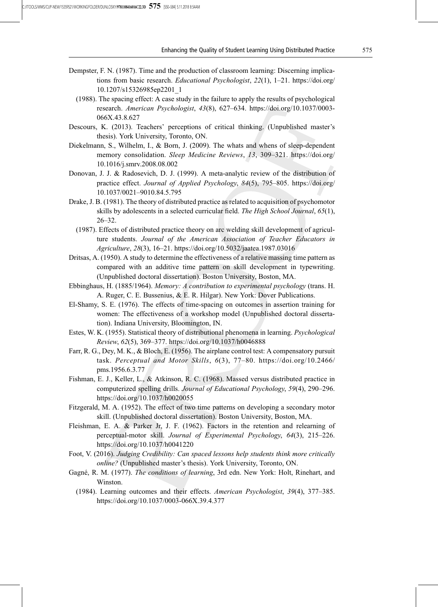- Dempster, F. N. (1987). Time and the production of classroom learning: Discerning implications from basic research. Educational Psychologist, 22(1), 1–21. https://doi.org/ 10.1207/s15326985ep2201\_1
- (1988). The spacing effect: A case study in the failure to apply the results of psychological research. American Psychologist, 43(8), 627–634. https://doi.org/10.1037/0003- 066X.43.8.627
- Descours, K. (2013). Teachers' perceptions of critical thinking. (Unpublished master's thesis). York University, Toronto, ON.
- Diekelmann, S., Wilhelm, I., & Born, J. (2009). The whats and whens of sleep-dependent memory consolidation. Sleep Medicine Reviews, 13, 309–321. https://doi.org/ 10.1016/j.smrv.2008.08.002
- Donovan, J. J. & Radosevich, D. J. (1999). A meta-analytic review of the distribution of practice effect. Journal of Applied Psychology, 84(5), 795–805. https://doi.org/ 10.1037/0021–9010.84.5.795
- Drake, J. B. (1981). The theory of distributed practice as related to acquisition of psychomotor skills by adolescents in a selected curricular field. The High School Journal, 65(1), 26–32.
	- (1987). Effects of distributed practice theory on arc welding skill development of agriculture students. Journal of the American Association of Teacher Educators in Agriculture, 28(3), 16–21. https://doi.org/10.5032/jaatea.1987.03016
- Dritsas, A. (1950). A study to determine the effectiveness of a relative massing time pattern as compared with an additive time pattern on skill development in typewriting. (Unpublished doctoral dissertation). Boston University, Boston, MA.
- Ebbinghaus, H. (1885/1964). Memory: A contribution to experimental psychology (trans. H. A. Ruger, C. E. Bussenius, & E. R. Hilgar). New York: Dover Publications.
- El-Shamy, S. E. (1976). The effects of time-spacing on outcomes in assertion training for women: The effectiveness of a workshop model (Unpublished doctoral dissertation). Indiana University, Bloomington, IN.
- Estes, W. K. (1955). Statistical theory of distributional phenomena in learning. Psychological Review, 62(5), 369–377. https://doi.org/10.1037/h0046888
- Farr, R. G., Dey, M. K., & Bloch, E. (1956). The airplane control test: A compensatory pursuit task. Perceptual and Motor Skills, 6(3), 77–80. https://doi.org/10.2466/ pms.1956.6.3.77
- Fishman, E. J., Keller, L., & Atkinson, R. C. (1968). Massed versus distributed practice in computerized spelling drills. Journal of Educational Psychology, 59(4), 290–296. https://doi.org/10.1037/h0020055
- Fitzgerald, M. A. (1952). The effect of two time patterns on developing a secondary motor skill. (Unpublished doctoral dissertation). Boston University, Boston, MA.
- Fleishman, E. A. & Parker Jr, J. F. (1962). Factors in the retention and relearning of perceptual-motor skill. Journal of Experimental Psychology, 64(3), 215–226. https://doi.org/10.1037/h0041220
- Foot, V. (2016). Judging Credibility: Can spaced lessons help students think more critically online? (Unpublished master's thesis). York University, Toronto, ON.
- Gagné, R. M. (1977). The conditions of learning, 3rd edn. New York: Holt, Rinehart, and Winston.
	- (1984). Learning outcomes and their effects. American Psychologist, 39(4), 377–385. https://doi.org/10.1037/0003-066X.39.4.377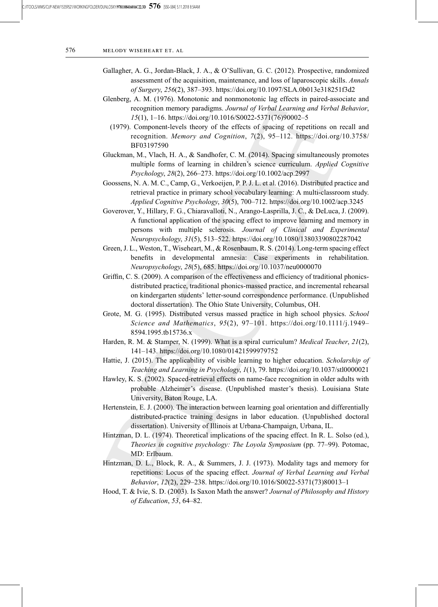- Gallagher, A. G., Jordan-Black, J. A., & O'Sullivan, G. C. (2012). Prospective, randomized assessment of the acquisition, maintenance, and loss of laparoscopic skills. Annals of Surgery, 256(2), 387–393. https://doi.org/10.1097/SLA.0b013e318251f3d2
- Glenberg, A. M. (1976). Monotonic and nonmonotonic lag effects in paired-associate and recognition memory paradigms. Journal of Verbal Learning and Verbal Behavior, 15(1), 1–16. https://doi.org/10.1016/S0022-5371(76)90002–5
	- (1979). Component-levels theory of the effects of spacing of repetitions on recall and recognition. Memory and Cognition, 7(2), 95–112. https://doi.org/10.3758/ BF03197590
- Gluckman, M., Vlach, H. A., & Sandhofer, C. M. (2014). Spacing simultaneously promotes multiple forms of learning in children's science curriculum. Applied Cognitive Psychology, 28(2), 266–273. https://doi.org/10.1002/acp.2997
- Goossens, N. A. M. C., Camp, G., Verkoeijen, P. P. J. L. et al. (2016). Distributed practice and retrieval practice in primary school vocabulary learning: A multi-classroom study. Applied Cognitive Psychology, 30(5), 700–712. https://doi.org/10.1002/acp.3245
- Goverover, Y., Hillary, F. G., Chiaravalloti, N., Arango-Lasprilla, J. C., & DeLuca, J. (2009). A functional application of the spacing effect to improve learning and memory in persons with multiple sclerosis. Journal of Clinical and Experimental Neuropsychology, 31(5), 513–522. https://doi.org/10.1080/13803390802287042
- Green, J. L., Weston, T., Wiseheart, M., & Rosenbaum, R. S. (2014). Long-term spacing effect benefits in developmental amnesia: Case experiments in rehabilitation. Neuropsychology, 28(5), 685. https://doi.org/10.1037/neu0000070
- Griffin, C. S. (2009). A comparison of the effectiveness and efficiency of traditional phonicsdistributed practice, traditional phonics-massed practice, and incremental rehearsal on kindergarten students' letter-sound correspondence performance. (Unpublished doctoral dissertation). The Ohio State University, Columbus, OH.
- Grote, M. G. (1995). Distributed versus massed practice in high school physics. School Science and Mathematics,  $95(2)$ ,  $97-101$ . https://doi.org/10.1111/j.1949– 8594.1995.tb15736.x
- Harden, R. M. & Stamper, N. (1999). What is a spiral curriculum? *Medical Teacher*, 21(2), 141–143. https://doi.org/10.1080/01421599979752
- Hattie, J. (2015). The applicability of visible learning to higher education. Scholarship of Teaching and Learning in Psychology, 1(1), 79. https://doi.org/10.1037/stl0000021
- Hawley, K. S. (2002). Spaced-retrieval effects on name-face recognition in older adults with probable Alzheimer's disease. (Unpublished master's thesis). Louisiana State University, Baton Rouge, LA.
- Hertenstein, E. J. (2000). The interaction between learning goal orientation and differentially distributed-practice training designs in labor education. (Unpublished doctoral dissertation). University of Illinois at Urbana-Champaign, Urbana, IL.
- Hintzman, D. L. (1974). Theoretical implications of the spacing effect. In R. L. Solso (ed.), Theories in cognitive psychology: The Loyola Symposium (pp. 77–99). Potomac, MD: Erlbaum.
- Hintzman, D. L., Block, R. A., & Summers, J. J. (1973). Modality tags and memory for repetitions: Locus of the spacing effect. Journal of Verbal Learning and Verbal Behavior, 12(2), 229–238. https://doi.org/10.1016/S0022-5371(73)80013–1
- Hood, T. & Ivie, S. D. (2003). Is Saxon Math the answer? Journal of Philosophy and History of Education, 53, 64–82.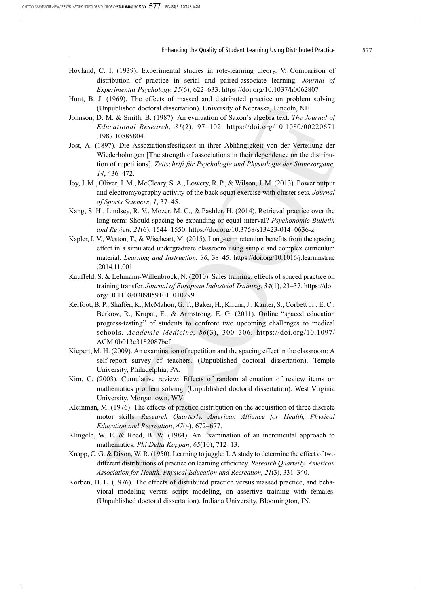- Hovland, C. I. (1939). Experimental studies in rote-learning theory. V. Comparison of distribution of practice in serial and paired-associate learning. Journal of Experimental Psychology, 25(6), 622–633. https://doi.org/10.1037/h0062807
- Hunt, B. J. (1969). The effects of massed and distributed practice on problem solving (Unpublished doctoral dissertation). University of Nebraska, Lincoln, NE.
- Johnson, D. M. & Smith, B. (1987). An evaluation of Saxon's algebra text. The Journal of Educational Research,  $81(2)$ ,  $97-102$ . https://doi.org/10.1080/00220671 .1987.10885804
- Jost, A. (1897). Die Assoziationsfestigkeit in ihrer Abhängigkeit von der Verteilung der Wiederholungen [The strength of associations in their dependence on the distribution of repetitions]. Zeitschrift für Psychologie und Physiologie der Sinnesorgane, 14, 436–472.
- Joy, J. M., Oliver, J. M., McCleary, S. A., Lowery, R. P., & Wilson, J. M. (2013). Power output and electromyography activity of the back squat exercise with cluster sets. Journal of Sports Sciences, 1, 37–45.
- Kang, S. H., Lindsey, R. V., Mozer, M. C., & Pashler, H. (2014). Retrieval practice over the long term: Should spacing be expanding or equal-interval? *Psychonomic Bulletin* and Review, 21(6), 1544–1550. https://doi.org/10.3758/s13423-014–0636-z
- Kapler, I. V., Weston, T., & Wiseheart, M. (2015). Long-term retention benefits from the spacing effect in a simulated undergraduate classroom using simple and complex curriculum material. Learning and Instruction, 36, 38–45. https://doi.org/10.1016/j.learninstruc .2014.11.001
- Kauffeld, S. & Lehmann-Willenbrock, N. (2010). Sales training: effects of spaced practice on training transfer. Journal of European Industrial Training, 34(1), 23–37. https://doi. org/10.1108/03090591011010299
- Kerfoot, B. P., Shaffer, K., McMahon, G. T., Baker, H., Kirdar, J., Kanter, S., Corbett Jr., E. C., Berkow, R., Krupat, E., & Armstrong, E. G. (2011). Online "spaced education progress-testing" of students to confront two upcoming challenges to medical schools. Academic Medicine, 86(3), 300–306. https://doi.org/10.1097/ ACM.0b013e3182087bef
- Kiepert, M. H. (2009). An examination of repetition and the spacing effect in the classroom: A self-report survey of teachers. (Unpublished doctoral dissertation). Temple University, Philadelphia, PA.
- Kim, C. (2003). Cumulative review: Effects of random alternation of review items on mathematics problem solving. (Unpublished doctoral dissertation). West Virginia University, Morgantown, WV.
- Kleinman, M. (1976). The effects of practice distribution on the acquisition of three discrete motor skills. Research Quarterly. American Alliance for Health, Physical Education and Recreation, 47(4), 672–677.
- Klingele, W. E. & Reed, B. W. (1984). An Examination of an incremental approach to mathematics. *Phi Delta Kappan*, 65(10), 712–13.
- Knapp, C. G. & Dixon, W. R. (1950). Learning to juggle: I. A study to determine the effect of two different distributions of practice on learning efficiency. Research Quarterly. American Association for Health, Physical Education and Recreation, 21(3), 331–340.
- Korben, D. L. (1976). The effects of distributed practice versus massed practice, and behavioral modeling versus script modeling, on assertive training with females. (Unpublished doctoral dissertation). Indiana University, Bloomington, IN.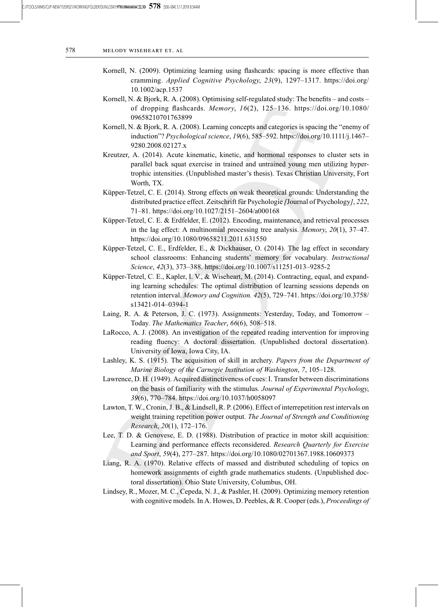- Kornell, N. (2009). Optimizing learning using flashcards: spacing is more effective than cramming. Applied Cognitive Psychology, 23(9), 1297–1317. https://doi.org/ 10.1002/acp.1537
- Kornell, N. & Bjork, R. A. (2008). Optimising self-regulated study: The benefits and costs of dropping flashcards. Memory, 16(2), 125–136. https://doi.org/10.1080/ 09658210701763899
- Kornell, N. & Bjork, R. A. (2008). Learning concepts and categories is spacing the "enemy of induction"? Psychological science, 19(6), 585–592. https://doi.org/10.1111/j.1467– 9280.2008.02127.x
- Kreutzer, A. (2014). Acute kinematic, kinetic, and hormonal responses to cluster sets in parallel back squat exercise in trained and untrained young men utilizing hypertrophic intensities. (Unpublished master's thesis). Texas Christian University, Fort Worth, TX.
- Küpper-Tetzel, C. E. (2014). Strong effects on weak theoretical grounds: Understanding the distributed practice effect. Zeitschrift für Psychologie [Journal of Psychology], 222, 71–81. https://doi.org/10.1027/2151–2604/a000168
- Küpper-Tetzel, C. E. & Erdfelder, E. (2012). Encoding, maintenance, and retrieval processes in the lag effect: A multinomial processing tree analysis. Memory, 20(1), 37–47. https://doi.org/10.1080/09658211.2011.631550
- Küpper-Tetzel, C. E., Erdfelder, E., & Dickhauser, O. (2014). The lag effect in secondary school classrooms: Enhancing students' memory for vocabulary. Instructional Science, 42(3), 373–388. https://doi.org/10.1007/s11251-013–9285-2
- Küpper-Tetzel, C. E., Kapler, I. V., & Wiseheart, M. (2014). Contracting, equal, and expanding learning schedules: The optimal distribution of learning sessions depends on retention interval. Memory and Cognition. 42(5), 729–741. https://doi.org/10.3758/ s13421-014–0394-1
- Laing, R. A. & Peterson, J. C. (1973). Assignments: Yesterday, Today, and Tomorrow Today. The Mathematics Teacher, 66(6), 508–518.
- LaRocco, A. J. (2008). An investigation of the repeated reading intervention for improving reading fluency: A doctoral dissertation. (Unpublished doctoral dissertation). University of Iowa, Iowa City, IA.
- Lashley, K. S. (1915). The acquisition of skill in archery. Papers from the Department of Marine Biology of the Carnegie Institution of Washington, 7, 105–128.
- Lawrence, D. H. (1949). Acquired distinctiveness of cues: I. Transfer between discriminations on the basis of familiarity with the stimulus. Journal of Experimental Psychology, 39(6), 770–784. https://doi.org/10.1037/h0058097
- Lawton, T. W., Cronin, J. B., & Lindsell, R. P. (2006). Effect of interrepetition rest intervals on weight training repetition power output. The Journal of Strength and Conditioning Research, 20(1), 172–176.
- Lee, T. D. & Genovese, E. D. (1988). Distribution of practice in motor skill acquisition: Learning and performance effects reconsidered. Research Quarterly for Exercise and Sport, 59(4), 277–287. https://doi.org/10.1080/02701367.1988.10609373
- Liang, R. A. (1970). Relative effects of massed and distributed scheduling of topics on homework assignments of eighth grade mathematics students. (Unpublished doctoral dissertation). Ohio State University, Columbus, OH.
- Lindsey, R., Mozer, M. C., Cepeda, N. J., & Pashler, H. (2009). Optimizing memory retention with cognitive models. In A. Howes, D. Peebles, & R. Cooper (eds.), Proceedings of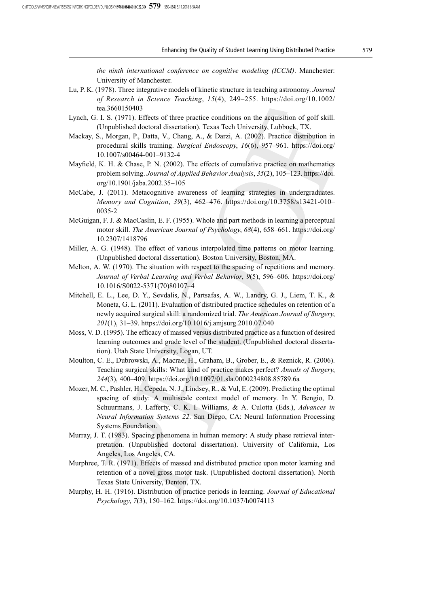the ninth international conference on cognitive modeling (ICCM). Manchester: University of Manchester.

- Lu, P. K. (1978). Three integrative models of kinetic structure in teaching astronomy. Journal of Research in Science Teaching, 15(4), 249–255. https://doi.org/10.1002/ tea.3660150403
- Lynch, G. I. S. (1971). Effects of three practice conditions on the acquisition of golf skill. (Unpublished doctoral dissertation). Texas Tech University, Lubbock, TX.
- Mackay, S., Morgan, P., Datta, V., Chang, A., & Darzi, A. (2002). Practice distribution in procedural skills training. Surgical Endoscopy, 16(6), 957–961. https://doi.org/ 10.1007/s00464-001–9132-4
- Mayfield, K. H. & Chase, P. N. (2002). The effects of cumulative practice on mathematics problem solving. Journal of Applied Behavior Analysis, 35(2), 105–123. https://doi. org/10.1901/jaba.2002.35–105
- McCabe, J. (2011). Metacognitive awareness of learning strategies in undergraduates. Memory and Cognition, 39(3), 462–476. https://doi.org/10.3758/s13421-010– 0035-2
- McGuigan, F. J. & MacCaslin, E. F. (1955). Whole and part methods in learning a perceptual motor skill. The American Journal of Psychology, 68(4), 658–661. https://doi.org/ 10.2307/1418796
- Miller, A. G. (1948). The effect of various interpolated time patterns on motor learning. (Unpublished doctoral dissertation). Boston University, Boston, MA.
- Melton, A. W. (1970). The situation with respect to the spacing of repetitions and memory. Journal of Verbal Learning and Verbal Behavior, 9(5), 596–606. https://doi.org/ 10.1016/S0022-5371(70)80107–4
- Mitchell, E. L., Lee, D. Y., Sevdalis, N., Partsafas, A. W., Landry, G. J., Liem, T. K., & Moneta, G. L. (2011). Evaluation of distributed practice schedules on retention of a newly acquired surgical skill: a randomized trial. The American Journal of Surgery, 201(1), 31–39. https://doi.org/10.1016/j.amjsurg.2010.07.040
- Moss, V. D. (1995). The efficacy of massed versus distributed practice as a function of desired learning outcomes and grade level of the student. (Unpublished doctoral dissertation). Utah State University, Logan, UT.
- Moulton, C. E., Dubrowski, A., Macrae, H., Graham, B., Grober, E., & Reznick, R. (2006). Teaching surgical skills: What kind of practice makes perfect? Annals of Surgery, 244(3), 400–409. https://doi.org/10.1097/01.sla.0000234808.85789.6a
- Mozer, M. C., Pashler, H., Cepeda, N. J., Lindsey, R., & Vul, E. (2009). Predicting the optimal spacing of study: A multiscale context model of memory. In Y. Bengio, D. Schuurmans, J. Lafferty, C. K. I. Williams, & A. Culotta (Eds.), Advances in Neural Information Systems 22. San Diego, CA: Neural Information Processing Systems Foundation.
- Murray, J. T. (1983). Spacing phenomena in human memory: A study phase retrieval interpretation. (Unpublished doctoral dissertation). University of California, Los Angeles, Los Angeles, CA.
- Murphree, T. R. (1971). Effects of massed and distributed practice upon motor learning and retention of a novel gross motor task. (Unpublished doctoral dissertation). North Texas State University, Denton, TX.
- Murphy, H. H. (1916). Distribution of practice periods in learning. Journal of Educational Psychology, 7(3), 150–162. https://doi.org/10.1037/h0074113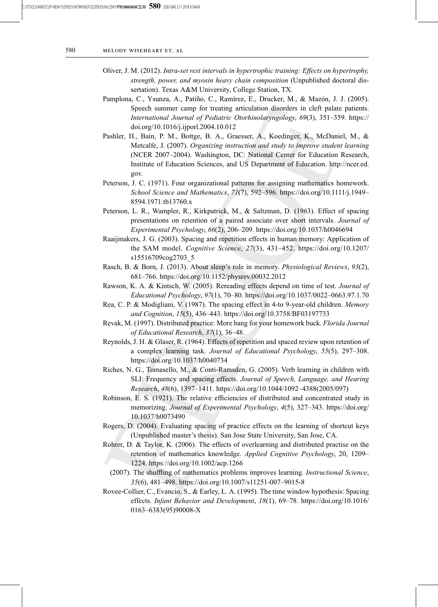- Oliver, J. M. (2012). Intra-set rest intervals in hypertrophic training: Effects on hypertrophy, strength, power, and myosin heavy chain composition (Unpublished doctoral dissertation). Texas A&M University, College Station, TX.
- Pamplona, C., Ysunza, A., Patiño, C., Ramírez, E., Drucker, M., & Mazón, J. J. (2005). Speech summer camp for treating articulation disorders in cleft palate patients. International Journal of Pediatric Otorhinolaryngology, 69(3), 351–359. https:// doi.org/10.1016/j.ijporl.2004.10.012
- Pashler, H., Bain, P. M., Bottge, B. A., Graesser, A., Koedinger, K., McDaniel, M., & Metcalfe, J. (2007). Organizing instruction and study to improve student learning (NCER 2007–2004). Washington, DC: National Center for Education Research, Institute of Education Sciences, and US Department of Education. http://ncer.ed. gov.
- Peterson, J. C. (1971). Four organizational patterns for assigning mathematics homework. School Science and Mathematics, 71(7), 592–596. https://doi.org/10.1111/j.1949– 8594.1971.tb13760.x
- Peterson, L. R., Wampler, R., Kirkpatrick, M., & Saltzman, D. (1963). Effect of spacing presentations on retention of a paired associate over short intervals. Journal of Experimental Psychology, 66(2), 206–209. https://doi.org/10.1037/h0046694
- Raaijmakers, J. G. (2003). Spacing and repetition effects in human memory: Application of the SAM model. Cognitive Science, 27(3), 431–452. https://doi.org/10.1207/ s15516709cog2703\_5
- Rasch, B. & Born, J. (2013). About sleep's role in memory. Physiological Reviews, 93(2), 681–766. https://doi.org/10.1152/physrev.00032.2012
- Rawson, K. A. & Kintsch, W. (2005). Rereading effects depend on time of test. Journal of Educational Psychology, 97(1), 70–80. https://doi.org/10.1037/0022–0663.97.1.70
- Rea, C. P. & Modigliani, V. (1987). The spacing effect in 4-to 9-year-old children. Memory and Cognition, 15(5), 436–443. https://doi.org/10.3758/BF03197733
- Revak, M. (1997). Distributed practice: More bang for your homework buck. Florida Journal of Educational Research, 37(1), 36–48.
- Reynolds, J. H. & Glaser, R. (1964). Effects of repetition and spaced review upon retention of a complex learning task. Journal of Educational Psychology, 55(5), 297–308. https://doi.org/10.1037/h0040734
- Riches, N. G., Tomasello, M., & Conti-Ramsden, G. (2005). Verb learning in children with SLI: Frequency and spacing effects. Journal of Speech, Language, and Hearing Research, 48(6), 1397–1411. https://doi.org/10.1044/1092–4388(2005/097)
- Robinson, E. S. (1921). The relative efficiencies of distributed and concentrated study in memorizing. Journal of Experimental Psychology, 4(5), 327–343. https://doi.org/ 10.1037/h0073490
- Rogers, D. (2004). Evaluating spacing of practice effects on the learning of shortcut keys (Unpublished master's thesis). San Jose State University, San Jose, CA.
- Rohrer, D. & Taylor, K. (2006). The effects of overlearning and distributed practise on the retention of mathematics knowledge. Applied Cognitive Psychology, 20, 1209– 1224. https://doi.org/10.1002/acp.1266
	- (2007). The shuffling of mathematics problems improves learning. Instructional Science, 35(6), 481–498. https://doi.org/10.1007/s11251-007–9015-8
- Rovee-Collier, C., Evancio, S., & Earley, L. A. (1995). The time window hypothesis: Spacing effects. Infant Behavior and Development, 18(1), 69–78. https://doi.org/10.1016/ 0163–6383(95)90008-X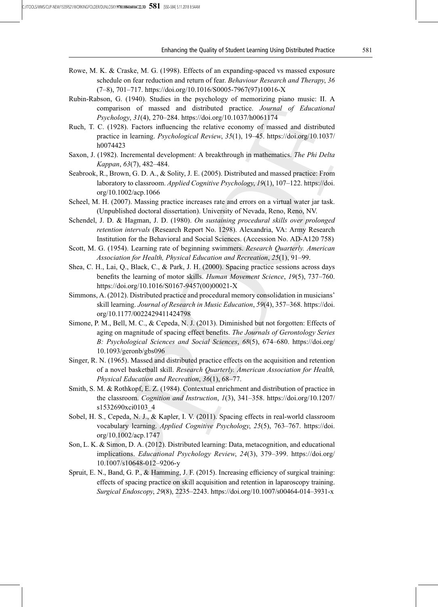- Rowe, M. K. & Craske, M. G. (1998). Effects of an expanding-spaced vs massed exposure schedule on fear reduction and return of fear. Behaviour Research and Therapy, 36 (7–8), 701–717. https://doi.org/10.1016/S0005-7967(97)10016-X
- Rubin-Rabson, G. (1940). Studies in the psychology of memorizing piano music: II. A comparison of massed and distributed practice. Journal of Educational Psychology, 31(4), 270–284. https://doi.org/10.1037/h0061174
- Ruch, T. C. (1928). Factors influencing the relative economy of massed and distributed practice in learning. Psychological Review, 35(1), 19–45. https://doi.org/10.1037/ h0074423
- Saxon, J. (1982). Incremental development: A breakthrough in mathematics. The Phi Delta Kappan, 63(7), 482–484.
- Seabrook, R., Brown, G. D. A., & Solity, J. E. (2005). Distributed and massed practice: From laboratory to classroom. Applied Cognitive Psychology, 19(1), 107–122. https://doi. org/10.1002/acp.1066
- Scheel, M. H. (2007). Massing practice increases rate and errors on a virtual water jar task. (Unpublished doctoral dissertation). University of Nevada, Reno, Reno, NV.
- Schendel, J. D. & Hagman, J. D. (1980). On sustaining procedural skills over prolonged retention intervals (Research Report No. 1298). Alexandria, VA: Army Research Institution for the Behavioral and Social Sciences. (Accession No. AD-A120 758)
- Scott, M. G. (1954). Learning rate of beginning swimmers. Research Quarterly. American Association for Health, Physical Education and Recreation, 25(1), 91–99.
- Shea, C. H., Lai, Q., Black, C., & Park, J. H. (2000). Spacing practice sessions across days benefits the learning of motor skills. Human Movement Science, 19(5), 737–760. https://doi.org/10.1016/S0167-9457(00)00021-X
- Simmons, A. (2012). Distributed practice and procedural memory consolidation in musicians' skill learning. Journal of Research in Music Education, 59(4), 357–368. https://doi. org/10.1177/0022429411424798
- Simone, P. M., Bell, M. C., & Cepeda, N. J. (2013). Diminished but not forgotten: Effects of aging on magnitude of spacing effect benefits. The Journals of Gerontology Series B: Psychological Sciences and Social Sciences, 68(5), 674–680. https://doi.org/ 10.1093/geronb/gbs096
- Singer, R. N. (1965). Massed and distributed practice effects on the acquisition and retention of a novel basketball skill. Research Quarterly. American Association for Health, Physical Education and Recreation, 36(1), 68–77.
- Smith, S. M. & Rothkopf, E. Z. (1984). Contextual enrichment and distribution of practice in the classroom. Cognition and Instruction, 1(3), 341–358. https://doi.org/10.1207/ s1532690xci0103\_4
- Sobel, H. S., Cepeda, N. J., & Kapler, I. V. (2011). Spacing effects in real-world classroom vocabulary learning. Applied Cognitive Psychology, 25(5), 763–767. https://doi. org/10.1002/acp.1747
- Son, L. K. & Simon, D. A. (2012). Distributed learning: Data, metacognition, and educational implications. Educational Psychology Review, 24(3), 379–399. https://doi.org/ 10.1007/s10648-012–9206-y
- Spruit, E. N., Band, G. P., & Hamming, J. F. (2015). Increasing efficiency of surgical training: effects of spacing practice on skill acquisition and retention in laparoscopy training. Surgical Endoscopy, 29(8), 2235–2243. https://doi.org/10.1007/s00464-014–3931-x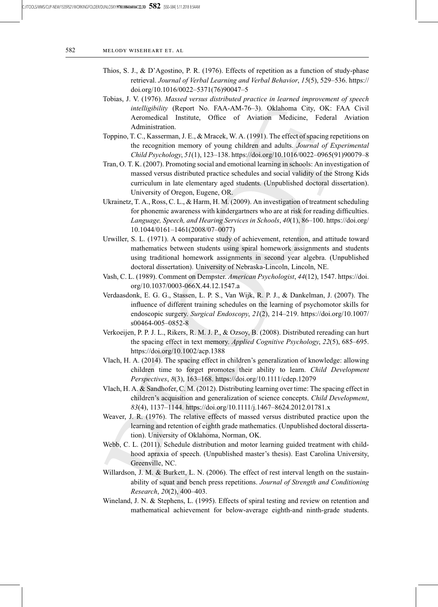- Thios, S. J., & D'Agostino, P. R. (1976). Effects of repetition as a function of study-phase retrieval. Journal of Verbal Learning and Verbal Behavior, 15(5), 529–536. https:// doi.org/10.1016/0022–5371(76)90047–5
- Tobias, J. V. (1976). Massed versus distributed practice in learned improvement of speech intelligibility (Report No. FAA-AM-76–3). Oklahoma City, OK: FAA Civil Aeromedical Institute, Office of Aviation Medicine, Federal Aviation Administration.
- Toppino, T. C., Kasserman, J. E., & Mracek, W. A. (1991). The effect of spacing repetitions on the recognition memory of young children and adults. Journal of Experimental Child Psychology, 51(1), 123–138. https://doi.org/10.1016/0022–0965(91)90079–8
- Tran, O. T. K. (2007). Promoting social and emotional learning in schools: An investigation of massed versus distributed practice schedules and social validity of the Strong Kids curriculum in late elementary aged students. (Unpublished doctoral dissertation). University of Oregon, Eugene, OR.
- Ukrainetz, T. A., Ross, C. L., & Harm, H. M. (2009). An investigation of treatment scheduling for phonemic awareness with kindergartners who are at risk for reading difficulties. Language, Speech, and Hearing Services in Schools, 40(1), 86–100. https://doi.org/ 10.1044/0161–1461(2008/07–0077)
- Urwiller, S. L. (1971). A comparative study of achievement, retention, and attitude toward mathematics between students using spiral homework assignments and students using traditional homework assignments in second year algebra. (Unpublished doctoral dissertation). University of Nebraska-Lincoln, Lincoln, NE.
- Vash, C. L. (1989). Comment on Dempster. American Psychologist, 44(12), 1547. https://doi. org/10.1037/0003-066X.44.12.1547.a
- Verdaasdonk, E. G. G., Stassen, L. P. S., Van Wijk, R. P. J., & Dankelman, J. (2007). The influence of different training schedules on the learning of psychomotor skills for endoscopic surgery. Surgical Endoscopy, 21(2), 214-219. https://doi.org/10.1007/ s00464-005–0852-8
- Verkoeijen, P. P. J. L., Rikers, R. M. J. P., & Ozsoy, B. (2008). Distributed rereading can hurt the spacing effect in text memory. Applied Cognitive Psychology, 22(5), 685–695. https://doi.org/10.1002/acp.1388
- Vlach, H. A. (2014). The spacing effect in children's generalization of knowledge: allowing children time to forget promotes their ability to learn. Child Development Perspectives, 8(3), 163–168. https://doi.org/10.1111/cdep.12079
- Vlach, H. A. & Sandhofer, C. M. (2012). Distributing learning over time: The spacing effect in children's acquisition and generalization of science concepts. Child Development, 83(4), 1137–1144. https://doi.org/10.1111/j.1467–8624.2012.01781.x
- Weaver, J. R. (1976). The relative effects of massed versus distributed practice upon the learning and retention of eighth grade mathematics. (Unpublished doctoral dissertation). University of Oklahoma, Norman, OK.
- Webb, C. L. (2011). Schedule distribution and motor learning guided treatment with childhood apraxia of speech. (Unpublished master's thesis). East Carolina University, Greenville, NC.
- Willardson, J. M. & Burkett, L. N. (2006). The effect of rest interval length on the sustainability of squat and bench press repetitions. Journal of Strength and Conditioning Research, 20(2), 400–403.
- Wineland, J. N. & Stephens, L. (1995). Effects of spiral testing and review on retention and mathematical achievement for below-average eighth-and ninth-grade students.